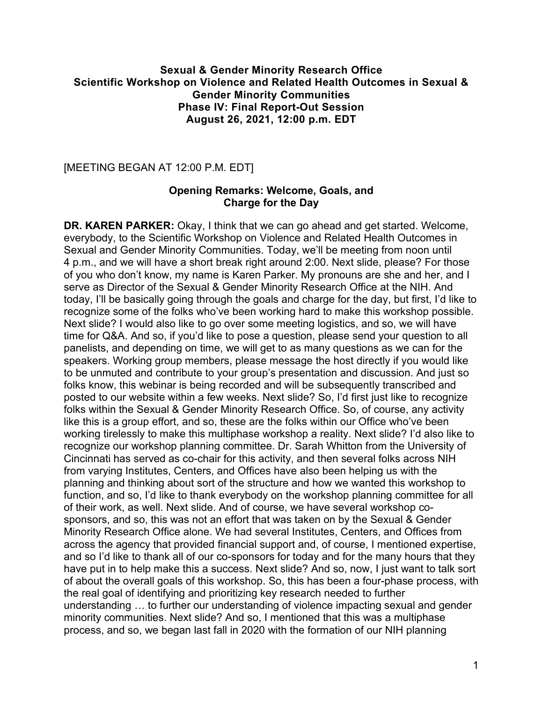### **Sexual & Gender Minority Research Office Scientific Workshop on Violence and Related Health Outcomes in Sexual & Gender Minority Communities Phase IV: Final Report-Out Session August 26, 2021, 12:00 p.m. EDT**

[MEETING BEGAN AT 12:00 P.M. EDT]

### **Opening Remarks: Welcome, Goals, and Charge for the Day**

**DR. KAREN PARKER:** Okay, I think that we can go ahead and get started. Welcome, everybody, to the Scientific Workshop on Violence and Related Health Outcomes in Sexual and Gender Minority Communities. Today, we'll be meeting from noon until 4 p.m., and we will have a short break right around 2:00. Next slide, please? For those of you who don't know, my name is Karen Parker. My pronouns are she and her, and I serve as Director of the Sexual & Gender Minority Research Office at the NIH. And today, I'll be basically going through the goals and charge for the day, but first, I'd like to recognize some of the folks who've been working hard to make this workshop possible. Next slide? I would also like to go over some meeting logistics, and so, we will have time for Q&A. And so, if you'd like to pose a question, please send your question to all panelists, and depending on time, we will get to as many questions as we can for the speakers. Working group members, please message the host directly if you would like to be unmuted and contribute to your group's presentation and discussion. And just so folks know, this webinar is being recorded and will be subsequently transcribed and posted to our website within a few weeks. Next slide? So, I'd first just like to recognize folks within the Sexual & Gender Minority Research Office. So, of course, any activity like this is a group effort, and so, these are the folks within our Office who've been working tirelessly to make this multiphase workshop a reality. Next slide? I'd also like to recognize our workshop planning committee. Dr. Sarah Whitton from the University of Cincinnati has served as co-chair for this activity, and then several folks across NIH from varying Institutes, Centers, and Offices have also been helping us with the planning and thinking about sort of the structure and how we wanted this workshop to function, and so, I'd like to thank everybody on the workshop planning committee for all of their work, as well. Next slide. And of course, we have several workshop cosponsors, and so, this was not an effort that was taken on by the Sexual & Gender Minority Research Office alone. We had several Institutes, Centers, and Offices from across the agency that provided financial support and, of course, I mentioned expertise, and so I'd like to thank all of our co-sponsors for today and for the many hours that they have put in to help make this a success. Next slide? And so, now, I just want to talk sort of about the overall goals of this workshop. So, this has been a four-phase process, with the real goal of identifying and prioritizing key research needed to further understanding … to further our understanding of violence impacting sexual and gender minority communities. Next slide? And so, I mentioned that this was a multiphase process, and so, we began last fall in 2020 with the formation of our NIH planning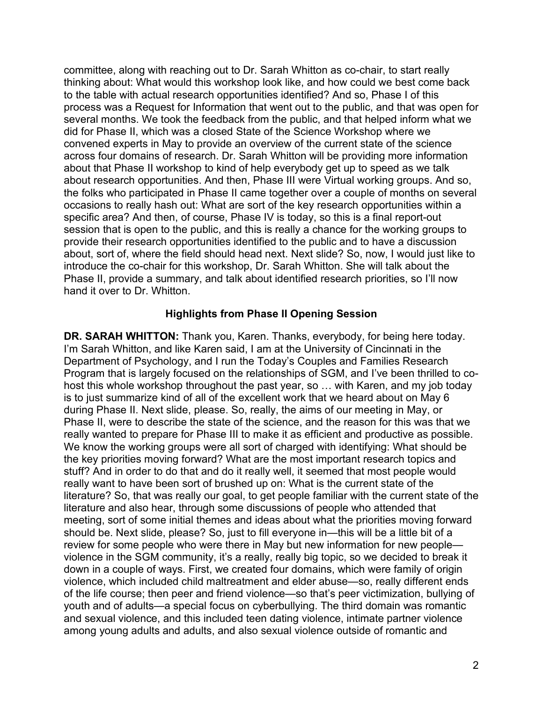committee, along with reaching out to Dr. Sarah Whitton as co-chair, to start really thinking about: What would this workshop look like, and how could we best come back to the table with actual research opportunities identified? And so, Phase I of this process was a Request for Information that went out to the public, and that was open for several months. We took the feedback from the public, and that helped inform what we did for Phase II, which was a closed State of the Science Workshop where we convened experts in May to provide an overview of the current state of the science across four domains of research. Dr. Sarah Whitton will be providing more information about that Phase II workshop to kind of help everybody get up to speed as we talk about research opportunities. And then, Phase III were Virtual working groups. And so, the folks who participated in Phase II came together over a couple of months on several occasions to really hash out: What are sort of the key research opportunities within a specific area? And then, of course, Phase IV is today, so this is a final report-out session that is open to the public, and this is really a chance for the working groups to provide their research opportunities identified to the public and to have a discussion about, sort of, where the field should head next. Next slide? So, now, I would just like to introduce the co-chair for this workshop, Dr. Sarah Whitton. She will talk about the Phase II, provide a summary, and talk about identified research priorities, so I'll now hand it over to Dr. Whitton.

# **Highlights from Phase II Opening Session**

**DR. SARAH WHITTON:** Thank you, Karen. Thanks, everybody, for being here today. I'm Sarah Whitton, and like Karen said, I am at the University of Cincinnati in the Department of Psychology, and I run the Today's Couples and Families Research Program that is largely focused on the relationships of SGM, and I've been thrilled to cohost this whole workshop throughout the past year, so … with Karen, and my job today is to just summarize kind of all of the excellent work that we heard about on May 6 during Phase II. Next slide, please. So, really, the aims of our meeting in May, or Phase II, were to describe the state of the science, and the reason for this was that we really wanted to prepare for Phase III to make it as efficient and productive as possible. We know the working groups were all sort of charged with identifying: What should be the key priorities moving forward? What are the most important research topics and stuff? And in order to do that and do it really well, it seemed that most people would really want to have been sort of brushed up on: What is the current state of the literature? So, that was really our goal, to get people familiar with the current state of the literature and also hear, through some discussions of people who attended that meeting, sort of some initial themes and ideas about what the priorities moving forward should be. Next slide, please? So, just to fill everyone in—this will be a little bit of a review for some people who were there in May but new information for new people violence in the SGM community, it's a really, really big topic, so we decided to break it down in a couple of ways. First, we created four domains, which were family of origin violence, which included child maltreatment and elder abuse—so, really different ends of the life course; then peer and friend violence—so that's peer victimization, bullying of youth and of adults—a special focus on cyberbullying. The third domain was romantic and sexual violence, and this included teen dating violence, intimate partner violence among young adults and adults, and also sexual violence outside of romantic and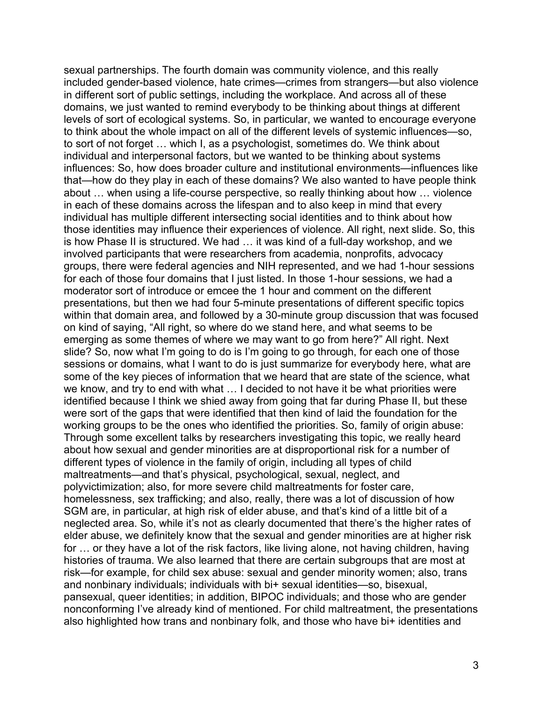sexual partnerships. The fourth domain was community violence, and this really included gender-based violence, hate crimes—crimes from strangers—but also violence in different sort of public settings, including the workplace. And across all of these domains, we just wanted to remind everybody to be thinking about things at different levels of sort of ecological systems. So, in particular, we wanted to encourage everyone to think about the whole impact on all of the different levels of systemic influences—so, to sort of not forget … which I, as a psychologist, sometimes do. We think about individual and interpersonal factors, but we wanted to be thinking about systems influences: So, how does broader culture and institutional environments—influences like that—how do they play in each of these domains? We also wanted to have people think about … when using a life-course perspective, so really thinking about how … violence in each of these domains across the lifespan and to also keep in mind that every individual has multiple different intersecting social identities and to think about how those identities may influence their experiences of violence. All right, next slide. So, this is how Phase II is structured. We had … it was kind of a full-day workshop, and we involved participants that were researchers from academia, nonprofits, advocacy groups, there were federal agencies and NIH represented, and we had 1-hour sessions for each of those four domains that I just listed. In those 1-hour sessions, we had a moderator sort of introduce or emcee the 1 hour and comment on the different presentations, but then we had four 5-minute presentations of different specific topics within that domain area, and followed by a 30-minute group discussion that was focused on kind of saying, "All right, so where do we stand here, and what seems to be emerging as some themes of where we may want to go from here?" All right. Next slide? So, now what I'm going to do is I'm going to go through, for each one of those sessions or domains, what I want to do is just summarize for everybody here, what are some of the key pieces of information that we heard that are state of the science, what we know, and try to end with what ... I decided to not have it be what priorities were identified because I think we shied away from going that far during Phase II, but these were sort of the gaps that were identified that then kind of laid the foundation for the working groups to be the ones who identified the priorities. So, family of origin abuse: Through some excellent talks by researchers investigating this topic, we really heard about how sexual and gender minorities are at disproportional risk for a number of different types of violence in the family of origin, including all types of child maltreatments—and that's physical, psychological, sexual, neglect, and polyvictimization; also, for more severe child maltreatments for foster care, homelessness, sex trafficking; and also, really, there was a lot of discussion of how SGM are, in particular, at high risk of elder abuse, and that's kind of a little bit of a neglected area. So, while it's not as clearly documented that there's the higher rates of elder abuse, we definitely know that the sexual and gender minorities are at higher risk for … or they have a lot of the risk factors, like living alone, not having children, having histories of trauma. We also learned that there are certain subgroups that are most at risk—for example, for child sex abuse: sexual and gender minority women; also, trans and nonbinary individuals; individuals with bi+ sexual identities—so, bisexual, pansexual, queer identities; in addition, BIPOC individuals; and those who are gender nonconforming I've already kind of mentioned. For child maltreatment, the presentations also highlighted how trans and nonbinary folk, and those who have bi+ identities and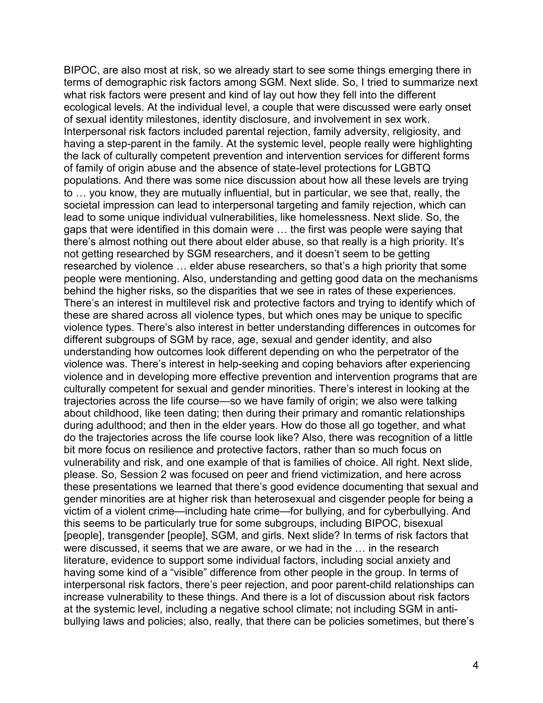BIPOC, are also most at risk, so we already start to see some things emerging there in terms of demographic risk factors among SGM. Next slide. So, I tried to summarize next what risk factors were present and kind of lay out how they fell into the different ecological levels. At the individual level, a couple that were discussed were early onset of sexual identity milestones, identity disclosure, and involvement in sex work. Interpersonal risk factors included parental rejection, family adversity, religiosity, and having a step-parent in the family. At the systemic level, people really were highlighting the lack of culturally competent prevention and intervention services for different forms of family of origin abuse and the absence of state-level protections for LGBTQ populations. And there was some nice discussion about how all these levels are trying to … you know, they are mutually influential, but in particular, we see that, really, the societal impression can lead to interpersonal targeting and family rejection, which can lead to some unique individual vulnerabilities, like homelessness. Next slide. So, the gaps that were identified in this domain were … the first was people were saying that there's almost nothing out there about elder abuse, so that really is a high priority. It's not getting researched by SGM researchers, and it doesn't seem to be getting researched by violence … elder abuse researchers, so that's a high priority that some people were mentioning. Also, understanding and getting good data on the mechanisms behind the higher risks, so the disparities that we see in rates of these experiences. There's an interest in multilevel risk and protective factors and trying to identify which of these are shared across all violence types, but which ones may be unique to specific violence types. There's also interest in better understanding differences in outcomes for different subgroups of SGM by race, age, sexual and gender identity, and also understanding how outcomes look different depending on who the perpetrator of the violence was. There's interest in help-seeking and coping behaviors after experiencing violence and in developing more effective prevention and intervention programs that are culturally competent for sexual and gender minorities. There's interest in looking at the trajectories across the life course—so we have family of origin; we also were talking about childhood, like teen dating; then during their primary and romantic relationships during adulthood; and then in the elder years. How do those all go together, and what do the trajectories across the life course look like? Also, there was recognition of a little bit more focus on resilience and protective factors, rather than so much focus on vulnerability and risk, and one example of that is families of choice. All right. Next slide, please. So, Session 2 was focused on peer and friend victimization, and here across these presentations we learned that there's good evidence documenting that sexual and gender minorities are at higher risk than heterosexual and cisgender people for being a victim of a violent crime—including hate crime—for bullying, and for cyberbullying. And this seems to be particularly true for some subgroups, including BIPOC, bisexual [people], transgender [people], SGM, and girls. Next slide? In terms of risk factors that were discussed, it seems that we are aware, or we had in the … in the research literature, evidence to support some individual factors, including social anxiety and having some kind of a "visible" difference from other people in the group. In terms of interpersonal risk factors, there's peer rejection, and poor parent-child relationships can increase vulnerability to these things. And there is a lot of discussion about risk factors at the systemic level, including a negative school climate; not including SGM in antibullying laws and policies; also, really, that there can be policies sometimes, but there's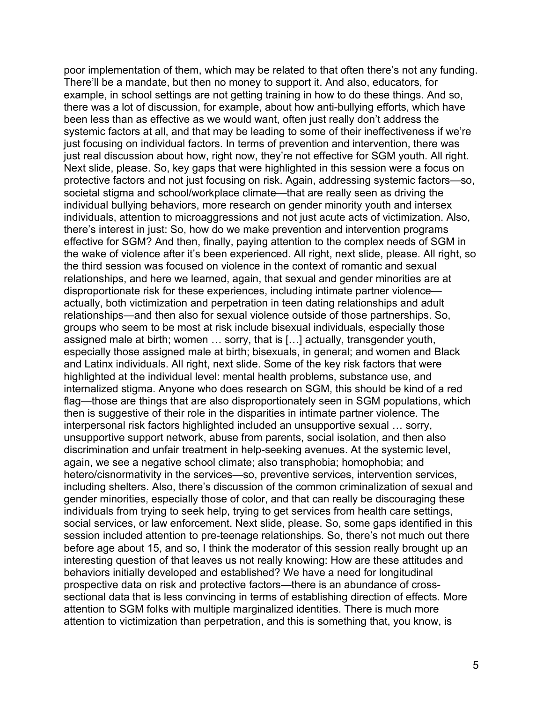poor implementation of them, which may be related to that often there's not any funding. There'll be a mandate, but then no money to support it. And also, educators, for example, in school settings are not getting training in how to do these things. And so, there was a lot of discussion, for example, about how anti-bullying efforts, which have been less than as effective as we would want, often just really don't address the systemic factors at all, and that may be leading to some of their ineffectiveness if we're just focusing on individual factors. In terms of prevention and intervention, there was just real discussion about how, right now, they're not effective for SGM youth. All right. Next slide, please. So, key gaps that were highlighted in this session were a focus on protective factors and not just focusing on risk. Again, addressing systemic factors—so, societal stigma and school/workplace climate—that are really seen as driving the individual bullying behaviors, more research on gender minority youth and intersex individuals, attention to microaggressions and not just acute acts of victimization. Also, there's interest in just: So, how do we make prevention and intervention programs effective for SGM? And then, finally, paying attention to the complex needs of SGM in the wake of violence after it's been experienced. All right, next slide, please. All right, so the third session was focused on violence in the context of romantic and sexual relationships, and here we learned, again, that sexual and gender minorities are at disproportionate risk for these experiences, including intimate partner violence actually, both victimization and perpetration in teen dating relationships and adult relationships—and then also for sexual violence outside of those partnerships. So, groups who seem to be most at risk include bisexual individuals, especially those assigned male at birth; women … sorry, that is […] actually, transgender youth, especially those assigned male at birth; bisexuals, in general; and women and Black and Latinx individuals. All right, next slide. Some of the key risk factors that were highlighted at the individual level: mental health problems, substance use, and internalized stigma. Anyone who does research on SGM, this should be kind of a red flag—those are things that are also disproportionately seen in SGM populations, which then is suggestive of their role in the disparities in intimate partner violence. The interpersonal risk factors highlighted included an unsupportive sexual … sorry, unsupportive support network, abuse from parents, social isolation, and then also discrimination and unfair treatment in help-seeking avenues. At the systemic level, again, we see a negative school climate; also transphobia; homophobia; and hetero/cisnormativity in the services—so, preventive services, intervention services, including shelters. Also, there's discussion of the common criminalization of sexual and gender minorities, especially those of color, and that can really be discouraging these individuals from trying to seek help, trying to get services from health care settings, social services, or law enforcement. Next slide, please. So, some gaps identified in this session included attention to pre-teenage relationships. So, there's not much out there before age about 15, and so, I think the moderator of this session really brought up an interesting question of that leaves us not really knowing: How are these attitudes and behaviors initially developed and established? We have a need for longitudinal prospective data on risk and protective factors—there is an abundance of crosssectional data that is less convincing in terms of establishing direction of effects. More attention to SGM folks with multiple marginalized identities. There is much more attention to victimization than perpetration, and this is something that, you know, is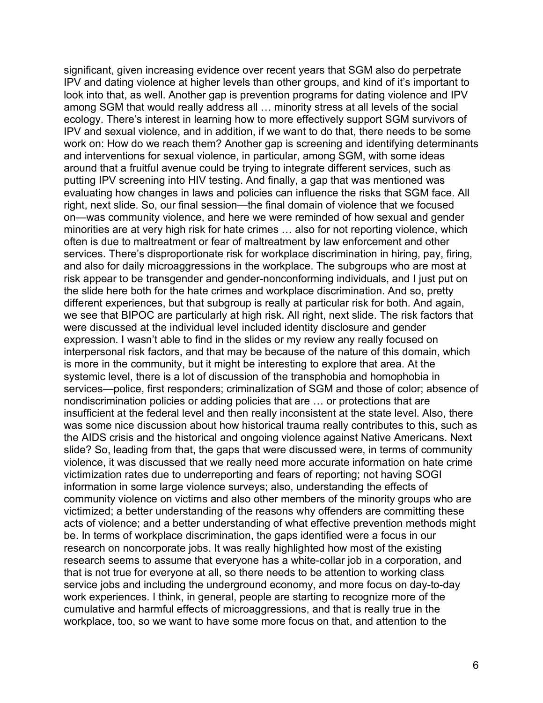significant, given increasing evidence over recent years that SGM also do perpetrate IPV and dating violence at higher levels than other groups, and kind of it's important to look into that, as well. Another gap is prevention programs for dating violence and IPV among SGM that would really address all … minority stress at all levels of the social ecology. There's interest in learning how to more effectively support SGM survivors of IPV and sexual violence, and in addition, if we want to do that, there needs to be some work on: How do we reach them? Another gap is screening and identifying determinants and interventions for sexual violence, in particular, among SGM, with some ideas around that a fruitful avenue could be trying to integrate different services, such as putting IPV screening into HIV testing. And finally, a gap that was mentioned was evaluating how changes in laws and policies can influence the risks that SGM face. All right, next slide. So, our final session—the final domain of violence that we focused on—was community violence, and here we were reminded of how sexual and gender minorities are at very high risk for hate crimes … also for not reporting violence, which often is due to maltreatment or fear of maltreatment by law enforcement and other services. There's disproportionate risk for workplace discrimination in hiring, pay, firing, and also for daily microaggressions in the workplace. The subgroups who are most at risk appear to be transgender and gender-nonconforming individuals, and I just put on the slide here both for the hate crimes and workplace discrimination. And so, pretty different experiences, but that subgroup is really at particular risk for both. And again, we see that BIPOC are particularly at high risk. All right, next slide. The risk factors that were discussed at the individual level included identity disclosure and gender expression. I wasn't able to find in the slides or my review any really focused on interpersonal risk factors, and that may be because of the nature of this domain, which is more in the community, but it might be interesting to explore that area. At the systemic level, there is a lot of discussion of the transphobia and homophobia in services—police, first responders; criminalization of SGM and those of color; absence of nondiscrimination policies or adding policies that are … or protections that are insufficient at the federal level and then really inconsistent at the state level. Also, there was some nice discussion about how historical trauma really contributes to this, such as the AIDS crisis and the historical and ongoing violence against Native Americans. Next slide? So, leading from that, the gaps that were discussed were, in terms of community violence, it was discussed that we really need more accurate information on hate crime victimization rates due to underreporting and fears of reporting; not having SOGI information in some large violence surveys; also, understanding the effects of community violence on victims and also other members of the minority groups who are victimized; a better understanding of the reasons why offenders are committing these acts of violence; and a better understanding of what effective prevention methods might be. In terms of workplace discrimination, the gaps identified were a focus in our research on noncorporate jobs. It was really highlighted how most of the existing research seems to assume that everyone has a white-collar job in a corporation, and that is not true for everyone at all, so there needs to be attention to working class service jobs and including the underground economy, and more focus on day-to-day work experiences. I think, in general, people are starting to recognize more of the cumulative and harmful effects of microaggressions, and that is really true in the workplace, too, so we want to have some more focus on that, and attention to the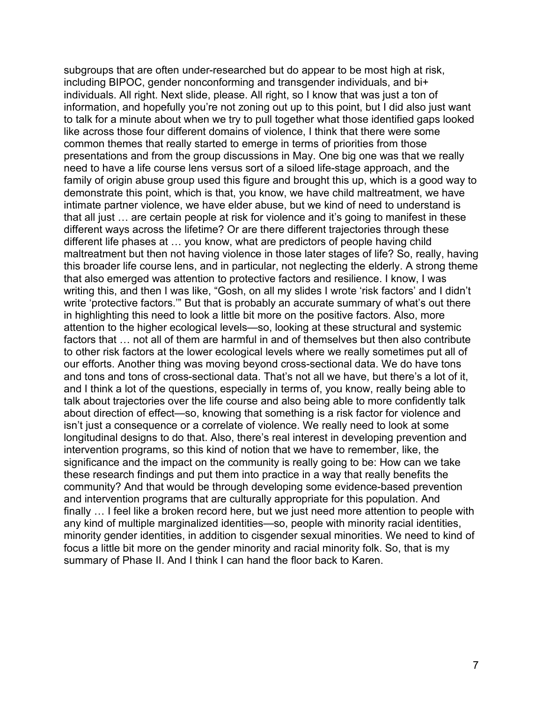subgroups that are often under-researched but do appear to be most high at risk, including BIPOC, gender nonconforming and transgender individuals, and bi+ individuals. All right. Next slide, please. All right, so I know that was just a ton of information, and hopefully you're not zoning out up to this point, but I did also just want to talk for a minute about when we try to pull together what those identified gaps looked like across those four different domains of violence, I think that there were some common themes that really started to emerge in terms of priorities from those presentations and from the group discussions in May. One big one was that we really need to have a life course lens versus sort of a siloed life-stage approach, and the family of origin abuse group used this figure and brought this up, which is a good way to demonstrate this point, which is that, you know, we have child maltreatment, we have intimate partner violence, we have elder abuse, but we kind of need to understand is that all just … are certain people at risk for violence and it's going to manifest in these different ways across the lifetime? Or are there different trajectories through these different life phases at … you know, what are predictors of people having child maltreatment but then not having violence in those later stages of life? So, really, having this broader life course lens, and in particular, not neglecting the elderly. A strong theme that also emerged was attention to protective factors and resilience. I know, I was writing this, and then I was like, "Gosh, on all my slides I wrote 'risk factors' and I didn't write 'protective factors.'" But that is probably an accurate summary of what's out there in highlighting this need to look a little bit more on the positive factors. Also, more attention to the higher ecological levels—so, looking at these structural and systemic factors that … not all of them are harmful in and of themselves but then also contribute to other risk factors at the lower ecological levels where we really sometimes put all of our efforts. Another thing was moving beyond cross-sectional data. We do have tons and tons and tons of cross-sectional data. That's not all we have, but there's a lot of it, and I think a lot of the questions, especially in terms of, you know, really being able to talk about trajectories over the life course and also being able to more confidently talk about direction of effect—so, knowing that something is a risk factor for violence and isn't just a consequence or a correlate of violence. We really need to look at some longitudinal designs to do that. Also, there's real interest in developing prevention and intervention programs, so this kind of notion that we have to remember, like, the significance and the impact on the community is really going to be: How can we take these research findings and put them into practice in a way that really benefits the community? And that would be through developing some evidence-based prevention and intervention programs that are culturally appropriate for this population. And finally … I feel like a broken record here, but we just need more attention to people with any kind of multiple marginalized identities—so, people with minority racial identities, minority gender identities, in addition to cisgender sexual minorities. We need to kind of focus a little bit more on the gender minority and racial minority folk. So, that is my summary of Phase II. And I think I can hand the floor back to Karen.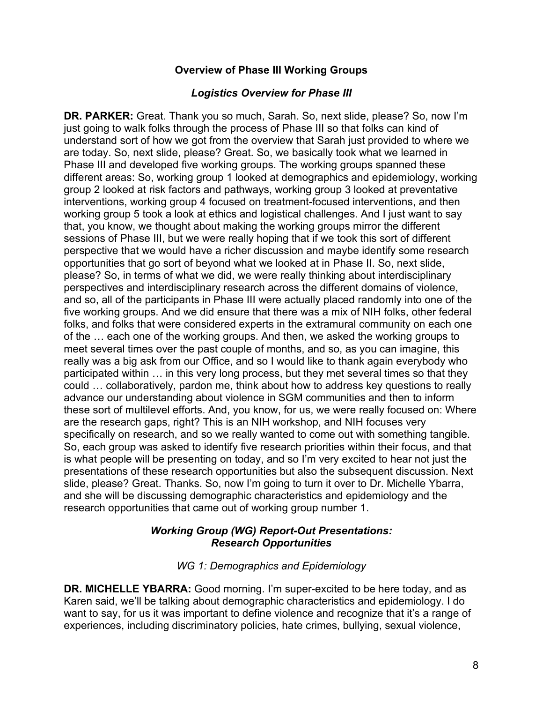# **Overview of Phase III Working Groups**

# *Logistics Overview for Phase III*

 just going to walk folks through the process of Phase III so that folks can kind of sessions of Phase III, but we were really hoping that if we took this sort of different participated within … in this very long process, but they met several times so that they could … collaboratively, pardon me, think about how to address key questions to really these sort of multilevel efforts. And, you know, for us, we were really focused on: Where So, each group was asked to identify five research priorities within their focus, and that is what people will be presenting on today, and so I'm very excited to hear not just the presentations of these research opportunities but also the subsequent discussion. Next slide, please? Great. Thanks. So, now I'm going to turn it over to Dr. Michelle Ybarra, **DR. PARKER:** Great. Thank you so much, Sarah. So, next slide, please? So, now I'm understand sort of how we got from the overview that Sarah just provided to where we are today. So, next slide, please? Great. So, we basically took what we learned in Phase III and developed five working groups. The working groups spanned these different areas: So, working group 1 looked at demographics and epidemiology, working group 2 looked at risk factors and pathways, working group 3 looked at preventative interventions, working group 4 focused on treatment-focused interventions, and then working group 5 took a look at ethics and logistical challenges. And I just want to say that, you know, we thought about making the working groups mirror the different perspective that we would have a richer discussion and maybe identify some research opportunities that go sort of beyond what we looked at in Phase II. So, next slide, please? So, in terms of what we did, we were really thinking about interdisciplinary perspectives and interdisciplinary research across the different domains of violence, and so, all of the participants in Phase III were actually placed randomly into one of the five working groups. And we did ensure that there was a mix of NIH folks, other federal folks, and folks that were considered experts in the extramural community on each one of the … each one of the working groups. And then, we asked the working groups to meet several times over the past couple of months, and so, as you can imagine, this really was a big ask from our Office, and so I would like to thank again everybody who advance our understanding about violence in SGM communities and then to inform are the research gaps, right? This is an NIH workshop, and NIH focuses very specifically on research, and so we really wanted to come out with something tangible. and she will be discussing demographic characteristics and epidemiology and the research opportunities that came out of working group number 1.

# *Working Group (WG) Report-Out Presentations: Research Opportunities*

### *WG 1: Demographics and Epidemiology*

**DR. MICHELLE YBARRA:** Good morning. I'm super-excited to be here today, and as Karen said, we'll be talking about demographic characteristics and epidemiology. I do want to say, for us it was important to define violence and recognize that it's a range of experiences, including discriminatory policies, hate crimes, bullying, sexual violence,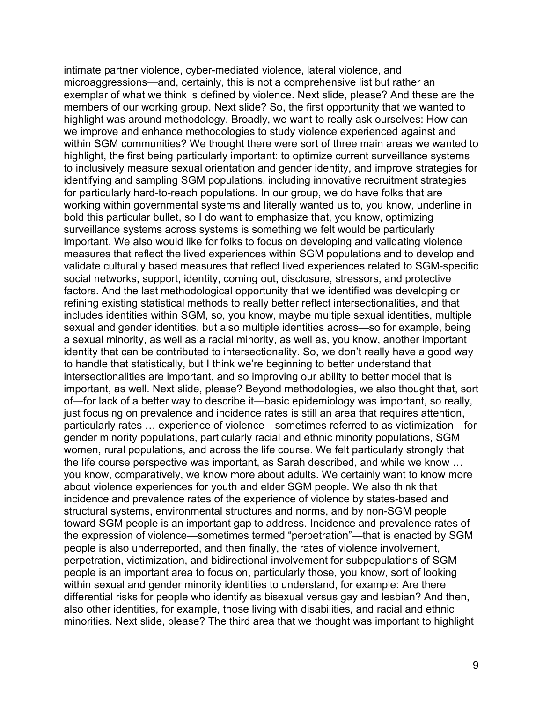intimate partner violence, cyber-mediated violence, lateral violence, and microaggressions—and, certainly, this is not a comprehensive list but rather an exemplar of what we think is defined by violence. Next slide, please? And these are the members of our working group. Next slide? So, the first opportunity that we wanted to highlight was around methodology. Broadly, we want to really ask ourselves: How can we improve and enhance methodologies to study violence experienced against and within SGM communities? We thought there were sort of three main areas we wanted to highlight, the first being particularly important: to optimize current surveillance systems to inclusively measure sexual orientation and gender identity, and improve strategies for identifying and sampling SGM populations, including innovative recruitment strategies for particularly hard-to-reach populations. In our group, we do have folks that are working within governmental systems and literally wanted us to, you know, underline in bold this particular bullet, so I do want to emphasize that, you know, optimizing surveillance systems across systems is something we felt would be particularly important. We also would like for folks to focus on developing and validating violence measures that reflect the lived experiences within SGM populations and to develop and validate culturally based measures that reflect lived experiences related to SGM-specific social networks, support, identity, coming out, disclosure, stressors, and protective factors. And the last methodological opportunity that we identified was developing or refining existing statistical methods to really better reflect intersectionalities, and that includes identities within SGM, so, you know, maybe multiple sexual identities, multiple sexual and gender identities, but also multiple identities across—so for example, being a sexual minority, as well as a racial minority, as well as, you know, another important identity that can be contributed to intersectionality. So, we don't really have a good way to handle that statistically, but I think we're beginning to better understand that intersectionalities are important, and so improving our ability to better model that is important, as well. Next slide, please? Beyond methodologies, we also thought that, sort of—for lack of a better way to describe it—basic epidemiology was important, so really, just focusing on prevalence and incidence rates is still an area that requires attention, particularly rates … experience of violence—sometimes referred to as victimization—for gender minority populations, particularly racial and ethnic minority populations, SGM women, rural populations, and across the life course. We felt particularly strongly that the life course perspective was important, as Sarah described, and while we know … you know, comparatively, we know more about adults. We certainly want to know more about violence experiences for youth and elder SGM people. We also think that incidence and prevalence rates of the experience of violence by states-based and structural systems, environmental structures and norms, and by non-SGM people toward SGM people is an important gap to address. Incidence and prevalence rates of the expression of violence—sometimes termed "perpetration"—that is enacted by SGM people is also underreported, and then finally, the rates of violence involvement, perpetration, victimization, and bidirectional involvement for subpopulations of SGM people is an important area to focus on, particularly those, you know, sort of looking within sexual and gender minority identities to understand, for example: Are there differential risks for people who identify as bisexual versus gay and lesbian? And then, also other identities, for example, those living with disabilities, and racial and ethnic minorities. Next slide, please? The third area that we thought was important to highlight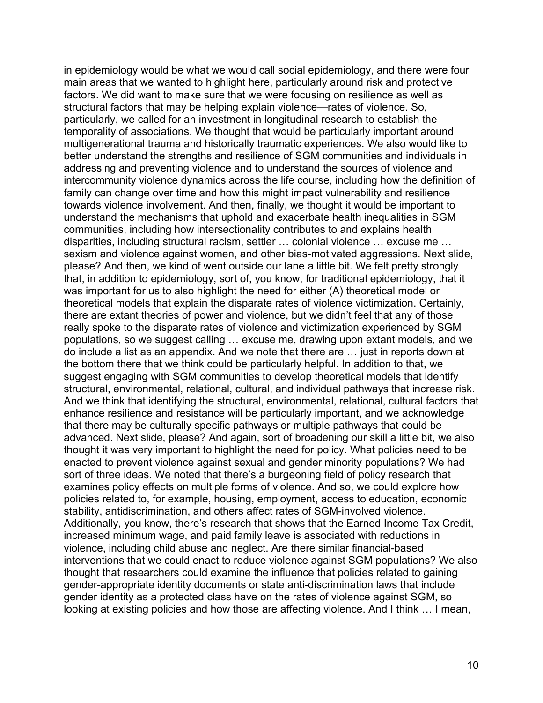in epidemiology would be what we would call social epidemiology, and there were four main areas that we wanted to highlight here, particularly around risk and protective factors. We did want to make sure that we were focusing on resilience as well as structural factors that may be helping explain violence—rates of violence. So, particularly, we called for an investment in longitudinal research to establish the temporality of associations. We thought that would be particularly important around multigenerational trauma and historically traumatic experiences. We also would like to better understand the strengths and resilience of SGM communities and individuals in addressing and preventing violence and to understand the sources of violence and intercommunity violence dynamics across the life course, including how the definition of family can change over time and how this might impact vulnerability and resilience towards violence involvement. And then, finally, we thought it would be important to understand the mechanisms that uphold and exacerbate health inequalities in SGM communities, including how intersectionality contributes to and explains health disparities, including structural racism, settler … colonial violence … excuse me … sexism and violence against women, and other bias-motivated aggressions. Next slide, please? And then, we kind of went outside our lane a little bit. We felt pretty strongly that, in addition to epidemiology, sort of, you know, for traditional epidemiology, that it was important for us to also highlight the need for either (A) theoretical model or theoretical models that explain the disparate rates of violence victimization. Certainly, there are extant theories of power and violence, but we didn't feel that any of those really spoke to the disparate rates of violence and victimization experienced by SGM populations, so we suggest calling … excuse me, drawing upon extant models, and we do include a list as an appendix. And we note that there are … just in reports down at the bottom there that we think could be particularly helpful. In addition to that, we suggest engaging with SGM communities to develop theoretical models that identify structural, environmental, relational, cultural, and individual pathways that increase risk. And we think that identifying the structural, environmental, relational, cultural factors that enhance resilience and resistance will be particularly important, and we acknowledge that there may be culturally specific pathways or multiple pathways that could be advanced. Next slide, please? And again, sort of broadening our skill a little bit, we also thought it was very important to highlight the need for policy. What policies need to be enacted to prevent violence against sexual and gender minority populations? We had sort of three ideas. We noted that there's a burgeoning field of policy research that examines policy effects on multiple forms of violence. And so, we could explore how policies related to, for example, housing, employment, access to education, economic stability, antidiscrimination, and others affect rates of SGM-involved violence. Additionally, you know, there's research that shows that the Earned Income Tax Credit, increased minimum wage, and paid family leave is associated with reductions in violence, including child abuse and neglect. Are there similar financial-based interventions that we could enact to reduce violence against SGM populations? We also thought that researchers could examine the influence that policies related to gaining gender-appropriate identity documents or state anti-discrimination laws that include gender identity as a protected class have on the rates of violence against SGM, so looking at existing policies and how those are affecting violence. And I think … I mean,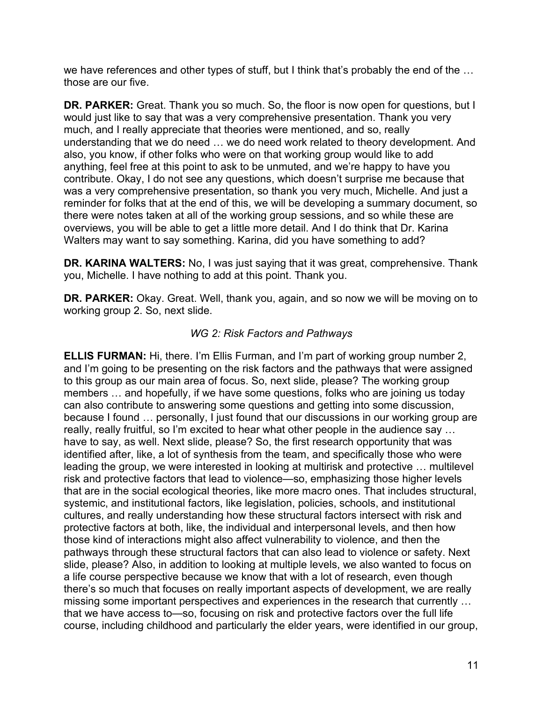we have references and other types of stuff, but I think that's probably the end of the … those are our five.

 **DR. PARKER:** Great. Thank you so much. So, the floor is now open for questions, but I much, and I really appreciate that theories were mentioned, and so, really anything, feel free at this point to ask to be unmuted, and we're happy to have you contribute. Okay, I do not see any questions, which doesn't surprise me because that would just like to say that was a very comprehensive presentation. Thank you very understanding that we do need … we do need work related to theory development. And also, you know, if other folks who were on that working group would like to add was a very comprehensive presentation, so thank you very much, Michelle. And just a reminder for folks that at the end of this, we will be developing a summary document, so there were notes taken at all of the working group sessions, and so while these are overviews, you will be able to get a little more detail. And I do think that Dr. Karina Walters may want to say something. Karina, did you have something to add?

**DR. KARINA WALTERS:** No, I was just saying that it was great, comprehensive. Thank you, Michelle. I have nothing to add at this point. Thank you.

 **DR. PARKER:** Okay. Great. Well, thank you, again, and so now we will be moving on to working group 2. So, next slide.

# *WG 2: Risk Factors and Pathways*

**ELLIS FURMAN:** Hi, there. I'm Ellis Furman, and I'm part of working group number 2, and I'm going to be presenting on the risk factors and the pathways that were assigned to this group as our main area of focus. So, next slide, please? The working group members … and hopefully, if we have some questions, folks who are joining us today can also contribute to answering some questions and getting into some discussion, because I found … personally, I just found that our discussions in our working group are really, really fruitful, so I'm excited to hear what other people in the audience say … have to say, as well. Next slide, please? So, the first research opportunity that was identified after, like, a lot of synthesis from the team, and specifically those who were leading the group, we were interested in looking at multirisk and protective … multilevel risk and protective factors that lead to violence—so, emphasizing those higher levels that are in the social ecological theories, like more macro ones. That includes structural, systemic, and institutional factors, like legislation, policies, schools, and institutional cultures, and really understanding how these structural factors intersect with risk and protective factors at both, like, the individual and interpersonal levels, and then how those kind of interactions might also affect vulnerability to violence, and then the pathways through these structural factors that can also lead to violence or safety. Next slide, please? Also, in addition to looking at multiple levels, we also wanted to focus on a life course perspective because we know that with a lot of research, even though there's so much that focuses on really important aspects of development, we are really missing some important perspectives and experiences in the research that currently … that we have access to—so, focusing on risk and protective factors over the full life course, including childhood and particularly the elder years, were identified in our group,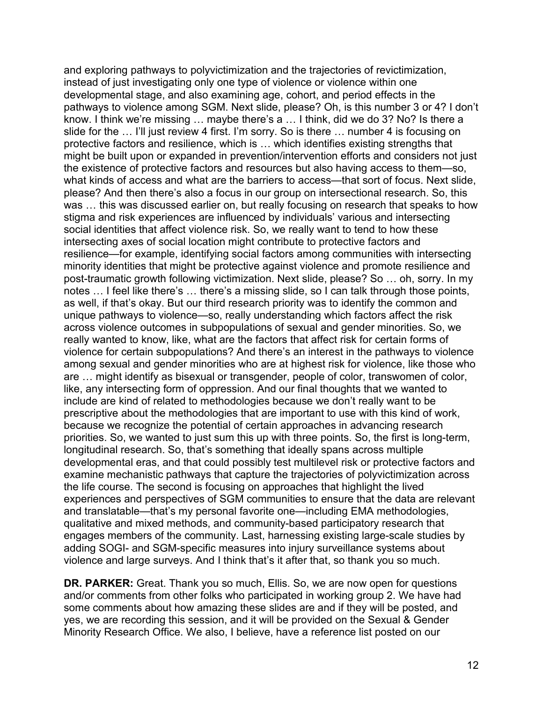and exploring pathways to polyvictimization and the trajectories of revictimization, instead of just investigating only one type of violence or violence within one developmental stage, and also examining age, cohort, and period effects in the pathways to violence among SGM. Next slide, please? Oh, is this number 3 or 4? I don't know. I think we're missing … maybe there's a … I think, did we do 3? No? Is there a slide for the … I'll just review 4 first. I'm sorry. So is there … number 4 is focusing on protective factors and resilience, which is … which identifies existing strengths that might be built upon or expanded in prevention/intervention efforts and considers not just the existence of protective factors and resources but also having access to them—so, what kinds of access and what are the barriers to access—that sort of focus. Next slide, please? And then there's also a focus in our group on intersectional research. So, this was … this was discussed earlier on, but really focusing on research that speaks to how stigma and risk experiences are influenced by individuals' various and intersecting social identities that affect violence risk. So, we really want to tend to how these intersecting axes of social location might contribute to protective factors and resilience—for example, identifying social factors among communities with intersecting minority identities that might be protective against violence and promote resilience and post-traumatic growth following victimization. Next slide, please? So … oh, sorry. In my notes … I feel like there's … there's a missing slide, so I can talk through those points, as well, if that's okay. But our third research priority was to identify the common and unique pathways to violence—so, really understanding which factors affect the risk across violence outcomes in subpopulations of sexual and gender minorities. So, we really wanted to know, like, what are the factors that affect risk for certain forms of violence for certain subpopulations? And there's an interest in the pathways to violence among sexual and gender minorities who are at highest risk for violence, like those who are … might identify as bisexual or transgender, people of color, transwomen of color, like, any intersecting form of oppression. And our final thoughts that we wanted to include are kind of related to methodologies because we don't really want to be prescriptive about the methodologies that are important to use with this kind of work, because we recognize the potential of certain approaches in advancing research priorities. So, we wanted to just sum this up with three points. So, the first is long-term, longitudinal research. So, that's something that ideally spans across multiple developmental eras, and that could possibly test multilevel risk or protective factors and examine mechanistic pathways that capture the trajectories of polyvictimization across the life course. The second is focusing on approaches that highlight the lived experiences and perspectives of SGM communities to ensure that the data are relevant and translatable—that's my personal favorite one—including EMA methodologies, qualitative and mixed methods, and community-based participatory research that engages members of the community. Last, harnessing existing large-scale studies by adding SOGI- and SGM-specific measures into injury surveillance systems about violence and large surveys. And I think that's it after that, so thank you so much.

**DR. PARKER:** Great. Thank you so much, Ellis. So, we are now open for questions and/or comments from other folks who participated in working group 2. We have had some comments about how amazing these slides are and if they will be posted, and yes, we are recording this session, and it will be provided on the Sexual & Gender Minority Research Office. We also, I believe, have a reference list posted on our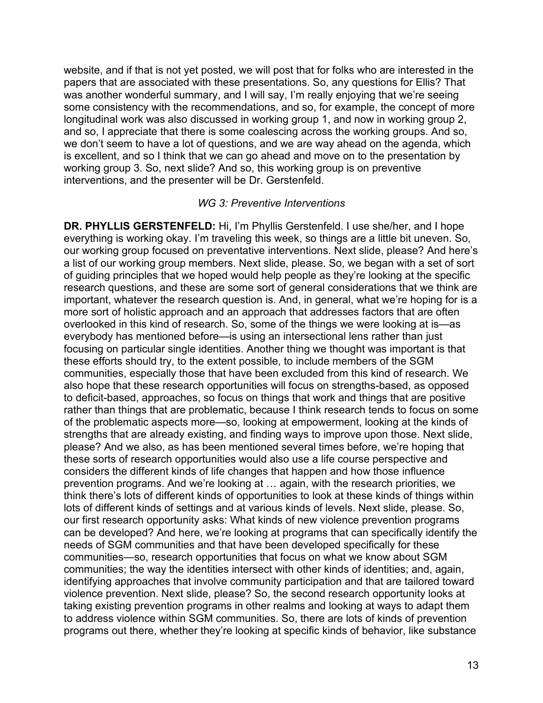website, and if that is not yet posted, we will post that for folks who are interested in the papers that are associated with these presentations. So, any questions for Ellis? That was another wonderful summary, and I will say, I'm really enjoying that we're seeing some consistency with the recommendations, and so, for example, the concept of more longitudinal work was also discussed in working group 1, and now in working group 2, and so, I appreciate that there is some coalescing across the working groups. And so, we don't seem to have a lot of questions, and we are way ahead on the agenda, which is excellent, and so I think that we can go ahead and move on to the presentation by working group 3. So, next slide? And so, this working group is on preventive interventions, and the presenter will be Dr. Gerstenfeld.

#### *WG 3: Preventive Interventions*

**DR. PHYLLIS GERSTENFELD:** Hi, I'm Phyllis Gerstenfeld. I use she/her, and I hope everything is working okay. I'm traveling this week, so things are a little bit uneven. So, our working group focused on preventative interventions. Next slide, please? And here's a list of our working group members. Next slide, please. So, we began with a set of sort of guiding principles that we hoped would help people as they're looking at the specific research questions, and these are some sort of general considerations that we think are important, whatever the research question is. And, in general, what we're hoping for is a more sort of holistic approach and an approach that addresses factors that are often overlooked in this kind of research. So, some of the things we were looking at is—as everybody has mentioned before—is using an intersectional lens rather than just focusing on particular single identities. Another thing we thought was important is that these efforts should try, to the extent possible, to include members of the SGM communities, especially those that have been excluded from this kind of research. We also hope that these research opportunities will focus on strengths-based, as opposed to deficit-based, approaches, so focus on things that work and things that are positive rather than things that are problematic, because I think research tends to focus on some of the problematic aspects more—so, looking at empowerment, looking at the kinds of strengths that are already existing, and finding ways to improve upon those. Next slide, please? And we also, as has been mentioned several times before, we're hoping that these sorts of research opportunities would also use a life course perspective and considers the different kinds of life changes that happen and how those influence prevention programs. And we're looking at … again, with the research priorities, we think there's lots of different kinds of opportunities to look at these kinds of things within lots of different kinds of settings and at various kinds of levels. Next slide, please. So, our first research opportunity asks: What kinds of new violence prevention programs can be developed? And here, we're looking at programs that can specifically identify the needs of SGM communities and that have been developed specifically for these communities—so, research opportunities that focus on what we know about SGM communities; the way the identities intersect with other kinds of identities; and, again, identifying approaches that involve community participation and that are tailored toward violence prevention. Next slide, please? So, the second research opportunity looks at taking existing prevention programs in other realms and looking at ways to adapt them to address violence within SGM communities. So, there are lots of kinds of prevention programs out there, whether they're looking at specific kinds of behavior, like substance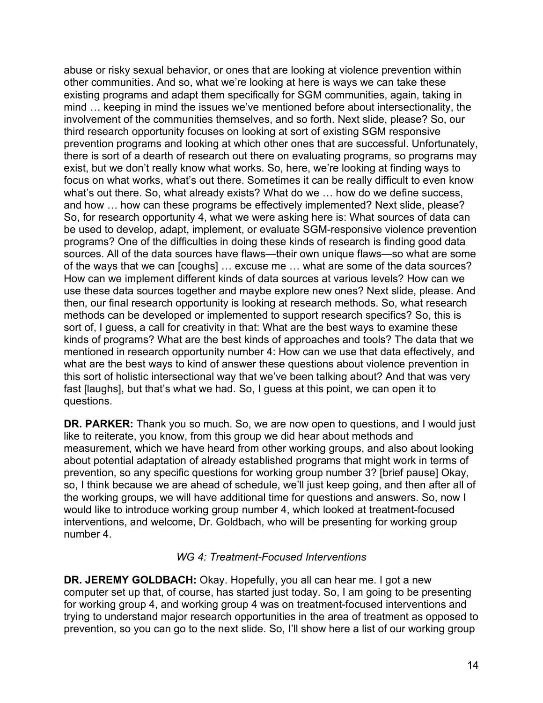abuse or risky sexual behavior, or ones that are looking at violence prevention within other communities. And so, what we're looking at here is ways we can take these existing programs and adapt them specifically for SGM communities, again, taking in mind … keeping in mind the issues we've mentioned before about intersectionality, the involvement of the communities themselves, and so forth. Next slide, please? So, our third research opportunity focuses on looking at sort of existing SGM responsive prevention programs and looking at which other ones that are successful. Unfortunately, there is sort of a dearth of research out there on evaluating programs, so programs may exist, but we don't really know what works. So, here, we're looking at finding ways to focus on what works, what's out there. Sometimes it can be really difficult to even know what's out there. So, what already exists? What do we … how do we define success, and how … how can these programs be effectively implemented? Next slide, please? So, for research opportunity 4, what we were asking here is: What sources of data can be used to develop, adapt, implement, or evaluate SGM-responsive violence prevention programs? One of the difficulties in doing these kinds of research is finding good data sources. All of the data sources have flaws—their own unique flaws—so what are some of the ways that we can [coughs] … excuse me … what are some of the data sources? How can we implement different kinds of data sources at various levels? How can we use these data sources together and maybe explore new ones? Next slide, please. And then, our final research opportunity is looking at research methods. So, what research methods can be developed or implemented to support research specifics? So, this is sort of, I guess, a call for creativity in that: What are the best ways to examine these kinds of programs? What are the best kinds of approaches and tools? The data that we mentioned in research opportunity number 4: How can we use that data effectively, and what are the best ways to kind of answer these questions about violence prevention in this sort of holistic intersectional way that we've been talking about? And that was very fast [laughs], but that's what we had. So, I guess at this point, we can open it to questions.

**DR. PARKER:** Thank you so much. So, we are now open to questions, and I would just like to reiterate, you know, from this group we did hear about methods and measurement, which we have heard from other working groups, and also about looking about potential adaptation of already established programs that might work in terms of prevention, so any specific questions for working group number 3? [brief pause] Okay, so, I think because we are ahead of schedule, we'll just keep going, and then after all of the working groups, we will have additional time for questions and answers. So, now I would like to introduce working group number 4, which looked at treatment-focused interventions, and welcome, Dr. Goldbach, who will be presenting for working group number 4.

### *WG 4: Treatment-Focused Interventions*

**DR. JEREMY GOLDBACH:** Okay. Hopefully, you all can hear me. I got a new computer set up that, of course, has started just today. So, I am going to be presenting for working group 4, and working group 4 was on treatment-focused interventions and trying to understand major research opportunities in the area of treatment as opposed to prevention, so you can go to the next slide. So, I'll show here a list of our working group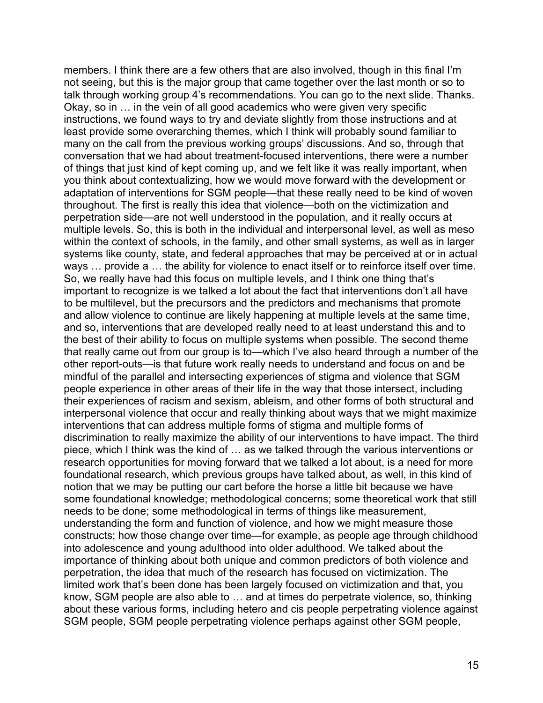members. I think there are a few others that are also involved, though in this final I'm not seeing, but this is the major group that came together over the last month or so to talk through working group 4's recommendations. You can go to the next slide. Thanks. Okay, so in … in the vein of all good academics who were given very specific instructions, we found ways to try and deviate slightly from those instructions and at least provide some overarching themes, which I think will probably sound familiar to many on the call from the previous working groups' discussions. And so, through that conversation that we had about treatment-focused interventions, there were a number of things that just kind of kept coming up, and we felt like it was really important, when you think about contextualizing, how we would move forward with the development or adaptation of interventions for SGM people—that these really need to be kind of woven throughout. The first is really this idea that violence—both on the victimization and perpetration side—are not well understood in the population, and it really occurs at multiple levels. So, this is both in the individual and interpersonal level, as well as meso within the context of schools, in the family, and other small systems, as well as in larger systems like county, state, and federal approaches that may be perceived at or in actual ways … provide a … the ability for violence to enact itself or to reinforce itself over time. So, we really have had this focus on multiple levels, and I think one thing that's important to recognize is we talked a lot about the fact that interventions don't all have to be multilevel, but the precursors and the predictors and mechanisms that promote and allow violence to continue are likely happening at multiple levels at the same time, and so, interventions that are developed really need to at least understand this and to the best of their ability to focus on multiple systems when possible. The second theme that really came out from our group is to—which I've also heard through a number of the other report-outs—is that future work really needs to understand and focus on and be mindful of the parallel and intersecting experiences of stigma and violence that SGM people experience in other areas of their life in the way that those intersect, including their experiences of racism and sexism, ableism, and other forms of both structural and interpersonal violence that occur and really thinking about ways that we might maximize interventions that can address multiple forms of stigma and multiple forms of discrimination to really maximize the ability of our interventions to have impact. The third piece, which I think was the kind of … as we talked through the various interventions or research opportunities for moving forward that we talked a lot about, is a need for more foundational research, which previous groups have talked about, as well, in this kind of notion that we may be putting our cart before the horse a little bit because we have some foundational knowledge; methodological concerns; some theoretical work that still needs to be done; some methodological in terms of things like measurement, understanding the form and function of violence, and how we might measure those constructs; how those change over time—for example, as people age through childhood into adolescence and young adulthood into older adulthood. We talked about the importance of thinking about both unique and common predictors of both violence and perpetration, the idea that much of the research has focused on victimization. The limited work that's been done has been largely focused on victimization and that, you know, SGM people are also able to … and at times do perpetrate violence, so, thinking about these various forms, including hetero and cis people perpetrating violence against SGM people, SGM people perpetrating violence perhaps against other SGM people,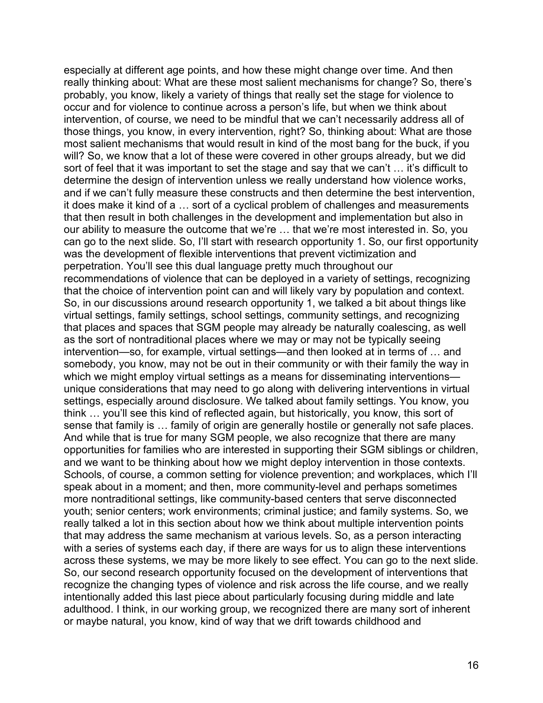especially at different age points, and how these might change over time. And then really thinking about: What are these most salient mechanisms for change? So, there's probably, you know, likely a variety of things that really set the stage for violence to occur and for violence to continue across a person's life, but when we think about intervention, of course, we need to be mindful that we can't necessarily address all of those things, you know, in every intervention, right? So, thinking about: What are those most salient mechanisms that would result in kind of the most bang for the buck, if you will? So, we know that a lot of these were covered in other groups already, but we did sort of feel that it was important to set the stage and say that we can't … it's difficult to determine the design of intervention unless we really understand how violence works, and if we can't fully measure these constructs and then determine the best intervention, it does make it kind of a … sort of a cyclical problem of challenges and measurements that then result in both challenges in the development and implementation but also in our ability to measure the outcome that we're … that we're most interested in. So, you can go to the next slide. So, I'll start with research opportunity 1. So, our first opportunity was the development of flexible interventions that prevent victimization and perpetration. You'll see this dual language pretty much throughout our recommendations of violence that can be deployed in a variety of settings, recognizing that the choice of intervention point can and will likely vary by population and context. So, in our discussions around research opportunity 1, we talked a bit about things like virtual settings, family settings, school settings, community settings, and recognizing that places and spaces that SGM people may already be naturally coalescing, as well as the sort of nontraditional places where we may or may not be typically seeing intervention—so, for example, virtual settings—and then looked at in terms of … and somebody, you know, may not be out in their community or with their family the way in which we might employ virtual settings as a means for disseminating interventions unique considerations that may need to go along with delivering interventions in virtual settings, especially around disclosure. We talked about family settings. You know, you think … you'll see this kind of reflected again, but historically, you know, this sort of sense that family is … family of origin are generally hostile or generally not safe places. And while that is true for many SGM people, we also recognize that there are many opportunities for families who are interested in supporting their SGM siblings or children, and we want to be thinking about how we might deploy intervention in those contexts. Schools, of course, a common setting for violence prevention; and workplaces, which I'll speak about in a moment; and then, more community-level and perhaps sometimes more nontraditional settings, like community-based centers that serve disconnected youth; senior centers; work environments; criminal justice; and family systems. So, we really talked a lot in this section about how we think about multiple intervention points that may address the same mechanism at various levels. So, as a person interacting with a series of systems each day, if there are ways for us to align these interventions across these systems, we may be more likely to see effect. You can go to the next slide. So, our second research opportunity focused on the development of interventions that recognize the changing types of violence and risk across the life course, and we really intentionally added this last piece about particularly focusing during middle and late adulthood. I think, in our working group, we recognized there are many sort of inherent or maybe natural, you know, kind of way that we drift towards childhood and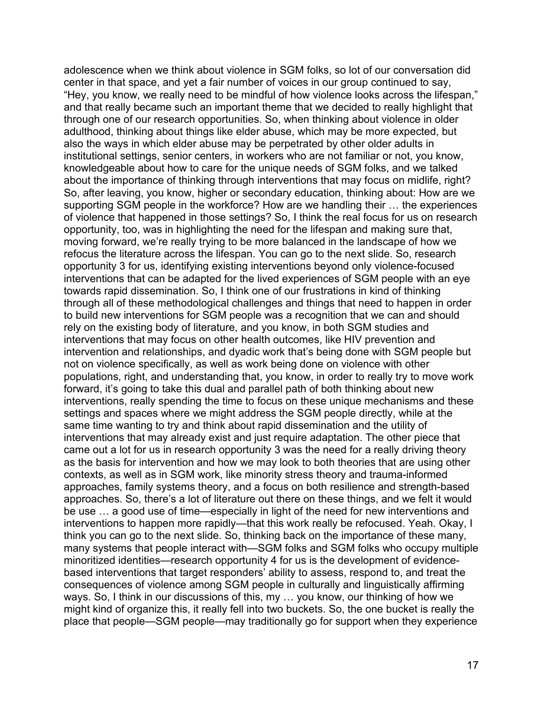adolescence when we think about violence in SGM folks, so lot of our conversation did center in that space, and yet a fair number of voices in our group continued to say, "Hey, you know, we really need to be mindful of how violence looks across the lifespan," and that really became such an important theme that we decided to really highlight that through one of our research opportunities. So, when thinking about violence in older adulthood, thinking about things like elder abuse, which may be more expected, but also the ways in which elder abuse may be perpetrated by other older adults in institutional settings, senior centers, in workers who are not familiar or not, you know, knowledgeable about how to care for the unique needs of SGM folks, and we talked about the importance of thinking through interventions that may focus on midlife, right? So, after leaving, you know, higher or secondary education, thinking about: How are we supporting SGM people in the workforce? How are we handling their … the experiences of violence that happened in those settings? So, I think the real focus for us on research opportunity, too, was in highlighting the need for the lifespan and making sure that, moving forward, we're really trying to be more balanced in the landscape of how we refocus the literature across the lifespan. You can go to the next slide. So, research opportunity 3 for us, identifying existing interventions beyond only violence-focused interventions that can be adapted for the lived experiences of SGM people with an eye towards rapid dissemination. So, I think one of our frustrations in kind of thinking through all of these methodological challenges and things that need to happen in order to build new interventions for SGM people was a recognition that we can and should rely on the existing body of literature, and you know, in both SGM studies and interventions that may focus on other health outcomes, like HIV prevention and intervention and relationships, and dyadic work that's being done with SGM people but not on violence specifically, as well as work being done on violence with other populations, right, and understanding that, you know, in order to really try to move work forward, it's going to take this dual and parallel path of both thinking about new interventions, really spending the time to focus on these unique mechanisms and these settings and spaces where we might address the SGM people directly, while at the same time wanting to try and think about rapid dissemination and the utility of interventions that may already exist and just require adaptation. The other piece that came out a lot for us in research opportunity 3 was the need for a really driving theory as the basis for intervention and how we may look to both theories that are using other contexts, as well as in SGM work, like minority stress theory and trauma-informed approaches, family systems theory, and a focus on both resilience and strength-based approaches. So, there's a lot of literature out there on these things, and we felt it would be use … a good use of time—especially in light of the need for new interventions and interventions to happen more rapidly—that this work really be refocused. Yeah. Okay, I think you can go to the next slide. So, thinking back on the importance of these many, many systems that people interact with—SGM folks and SGM folks who occupy multiple minoritized identities—research opportunity 4 for us is the development of evidencebased interventions that target responders' ability to assess, respond to, and treat the consequences of violence among SGM people in culturally and linguistically affirming ways. So, I think in our discussions of this, my … you know, our thinking of how we might kind of organize this, it really fell into two buckets. So, the one bucket is really the place that people—SGM people—may traditionally go for support when they experience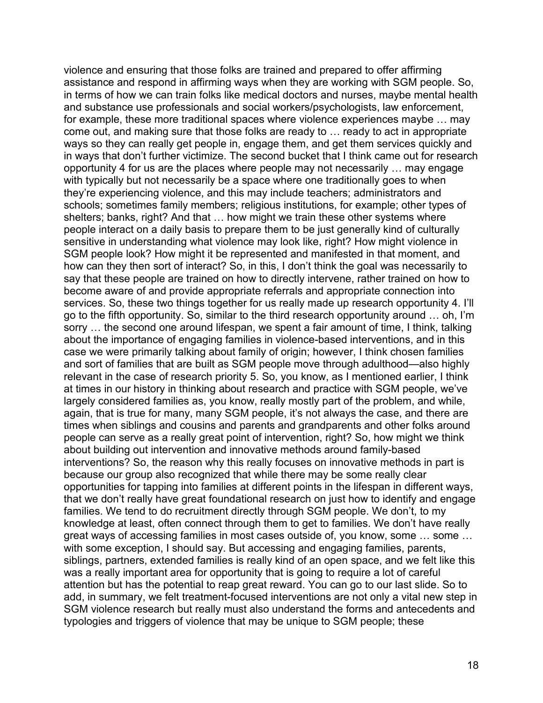violence and ensuring that those folks are trained and prepared to offer affirming assistance and respond in affirming ways when they are working with SGM people. So, in terms of how we can train folks like medical doctors and nurses, maybe mental health and substance use professionals and social workers/psychologists, law enforcement, for example, these more traditional spaces where violence experiences maybe … may come out, and making sure that those folks are ready to … ready to act in appropriate ways so they can really get people in, engage them, and get them services quickly and in ways that don't further victimize. The second bucket that I think came out for research opportunity 4 for us are the places where people may not necessarily … may engage with typically but not necessarily be a space where one traditionally goes to when they're experiencing violence, and this may include teachers; administrators and schools; sometimes family members; religious institutions, for example; other types of shelters; banks, right? And that … how might we train these other systems where people interact on a daily basis to prepare them to be just generally kind of culturally sensitive in understanding what violence may look like, right? How might violence in SGM people look? How might it be represented and manifested in that moment, and how can they then sort of interact? So, in this, I don't think the goal was necessarily to say that these people are trained on how to directly intervene, rather trained on how to become aware of and provide appropriate referrals and appropriate connection into services. So, these two things together for us really made up research opportunity 4. I'll go to the fifth opportunity. So, similar to the third research opportunity around … oh, I'm sorry … the second one around lifespan, we spent a fair amount of time, I think, talking about the importance of engaging families in violence-based interventions, and in this case we were primarily talking about family of origin; however, I think chosen families and sort of families that are built as SGM people move through adulthood—also highly relevant in the case of research priority 5. So, you know, as I mentioned earlier, I think at times in our history in thinking about research and practice with SGM people, we've largely considered families as, you know, really mostly part of the problem, and while, again, that is true for many, many SGM people, it's not always the case, and there are times when siblings and cousins and parents and grandparents and other folks around people can serve as a really great point of intervention, right? So, how might we think about building out intervention and innovative methods around family-based interventions? So, the reason why this really focuses on innovative methods in part is because our group also recognized that while there may be some really clear opportunities for tapping into families at different points in the lifespan in different ways, that we don't really have great foundational research on just how to identify and engage families. We tend to do recruitment directly through SGM people. We don't, to my knowledge at least, often connect through them to get to families. We don't have really great ways of accessing families in most cases outside of, you know, some … some … with some exception, I should say. But accessing and engaging families, parents, siblings, partners, extended families is really kind of an open space, and we felt like this was a really important area for opportunity that is going to require a lot of careful attention but has the potential to reap great reward. You can go to our last slide. So to add, in summary, we felt treatment-focused interventions are not only a vital new step in SGM violence research but really must also understand the forms and antecedents and typologies and triggers of violence that may be unique to SGM people; these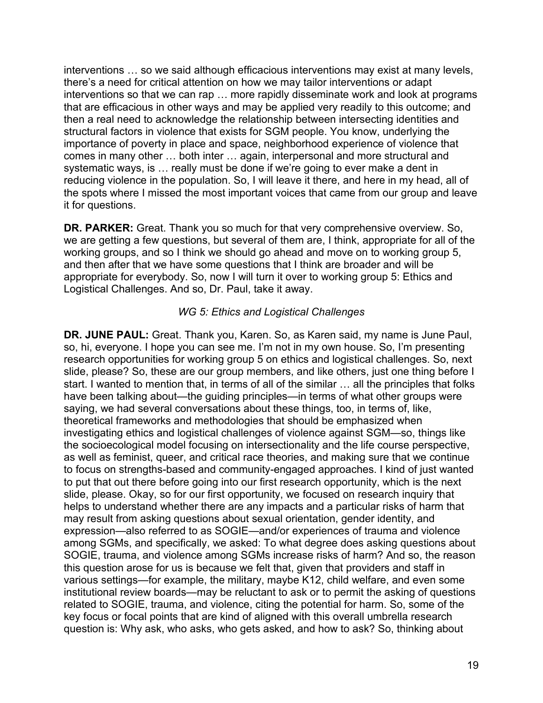interventions … so we said although efficacious interventions may exist at many levels, there's a need for critical attention on how we may tailor interventions or adapt interventions so that we can rap … more rapidly disseminate work and look at programs that are efficacious in other ways and may be applied very readily to this outcome; and then a real need to acknowledge the relationship between intersecting identities and structural factors in violence that exists for SGM people. You know, underlying the importance of poverty in place and space, neighborhood experience of violence that comes in many other … both inter … again, interpersonal and more structural and systematic ways, is … really must be done if we're going to ever make a dent in reducing violence in the population. So, I will leave it there, and here in my head, all of the spots where I missed the most important voices that came from our group and leave it for questions.

 and then after that we have some questions that I think are broader and will be **DR. PARKER:** Great. Thank you so much for that very comprehensive overview. So, we are getting a few questions, but several of them are, I think, appropriate for all of the working groups, and so I think we should go ahead and move on to working group 5, appropriate for everybody. So, now I will turn it over to working group 5: Ethics and Logistical Challenges. And so, Dr. Paul, take it away.

# *WG 5: Ethics and Logistical Challenges*

**DR. JUNE PAUL:** Great. Thank you, Karen. So, as Karen said, my name is June Paul, so, hi, everyone. I hope you can see me. I'm not in my own house. So, I'm presenting research opportunities for working group 5 on ethics and logistical challenges. So, next slide, please? So, these are our group members, and like others, just one thing before I start. I wanted to mention that, in terms of all of the similar … all the principles that folks have been talking about—the guiding principles—in terms of what other groups were saying, we had several conversations about these things, too, in terms of, like, theoretical frameworks and methodologies that should be emphasized when investigating ethics and logistical challenges of violence against SGM—so, things like the socioecological model focusing on intersectionality and the life course perspective, as well as feminist, queer, and critical race theories, and making sure that we continue to focus on strengths-based and community-engaged approaches. I kind of just wanted to put that out there before going into our first research opportunity, which is the next slide, please. Okay, so for our first opportunity, we focused on research inquiry that helps to understand whether there are any impacts and a particular risks of harm that may result from asking questions about sexual orientation, gender identity, and expression—also referred to as SOGIE—and/or experiences of trauma and violence among SGMs, and specifically, we asked: To what degree does asking questions about SOGIE, trauma, and violence among SGMs increase risks of harm? And so, the reason this question arose for us is because we felt that, given that providers and staff in various settings—for example, the military, maybe K12, child welfare, and even some institutional review boards—may be reluctant to ask or to permit the asking of questions related to SOGIE, trauma, and violence, citing the potential for harm. So, some of the key focus or focal points that are kind of aligned with this overall umbrella research question is: Why ask, who asks, who gets asked, and how to ask? So, thinking about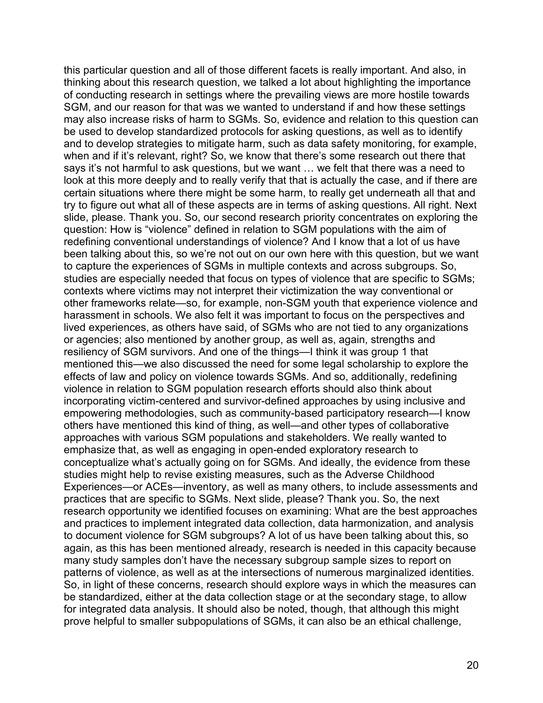this particular question and all of those different facets is really important. And also, in thinking about this research question, we talked a lot about highlighting the importance of conducting research in settings where the prevailing views are more hostile towards SGM, and our reason for that was we wanted to understand if and how these settings may also increase risks of harm to SGMs. So, evidence and relation to this question can be used to develop standardized protocols for asking questions, as well as to identify and to develop strategies to mitigate harm, such as data safety monitoring, for example, when and if it's relevant, right? So, we know that there's some research out there that says it's not harmful to ask questions, but we want … we felt that there was a need to look at this more deeply and to really verify that that is actually the case, and if there are certain situations where there might be some harm, to really get underneath all that and try to figure out what all of these aspects are in terms of asking questions. All right. Next slide, please. Thank you. So, our second research priority concentrates on exploring the question: How is "violence" defined in relation to SGM populations with the aim of redefining conventional understandings of violence? And I know that a lot of us have been talking about this, so we're not out on our own here with this question, but we want to capture the experiences of SGMs in multiple contexts and across subgroups. So, studies are especially needed that focus on types of violence that are specific to SGMs; contexts where victims may not interpret their victimization the way conventional or other frameworks relate—so, for example, non-SGM youth that experience violence and harassment in schools. We also felt it was important to focus on the perspectives and lived experiences, as others have said, of SGMs who are not tied to any organizations or agencies; also mentioned by another group, as well as, again, strengths and resiliency of SGM survivors. And one of the things—I think it was group 1 that mentioned this—we also discussed the need for some legal scholarship to explore the effects of law and policy on violence towards SGMs. And so, additionally, redefining violence in relation to SGM population research efforts should also think about incorporating victim-centered and survivor-defined approaches by using inclusive and empowering methodologies, such as community-based participatory research—I know others have mentioned this kind of thing, as well—and other types of collaborative approaches with various SGM populations and stakeholders. We really wanted to emphasize that, as well as engaging in open-ended exploratory research to conceptualize what's actually going on for SGMs. And ideally, the evidence from these studies might help to revise existing measures, such as the Adverse Childhood Experiences—or ACEs—inventory, as well as many others, to include assessments and practices that are specific to SGMs. Next slide, please? Thank you. So, the next research opportunity we identified focuses on examining: What are the best approaches and practices to implement integrated data collection, data harmonization, and analysis to document violence for SGM subgroups? A lot of us have been talking about this, so again, as this has been mentioned already, research is needed in this capacity because many study samples don't have the necessary subgroup sample sizes to report on patterns of violence, as well as at the intersections of numerous marginalized identities. So, in light of these concerns, research should explore ways in which the measures can be standardized, either at the data collection stage or at the secondary stage, to allow for integrated data analysis. It should also be noted, though, that although this might prove helpful to smaller subpopulations of SGMs, it can also be an ethical challenge,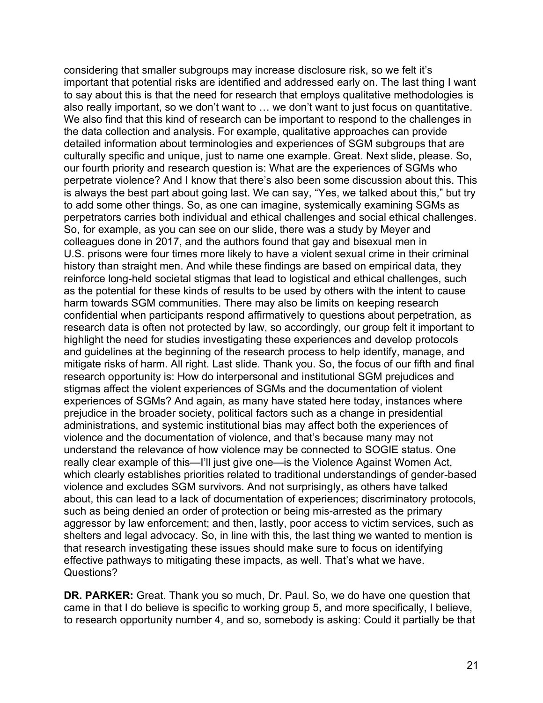considering that smaller subgroups may increase disclosure risk, so we felt it's important that potential risks are identified and addressed early on. The last thing I want to say about this is that the need for research that employs qualitative methodologies is also really important, so we don't want to … we don't want to just focus on quantitative. We also find that this kind of research can be important to respond to the challenges in the data collection and analysis. For example, qualitative approaches can provide detailed information about terminologies and experiences of SGM subgroups that are culturally specific and unique, just to name one example. Great. Next slide, please. So, our fourth priority and research question is: What are the experiences of SGMs who perpetrate violence? And I know that there's also been some discussion about this. This is always the best part about going last. We can say, "Yes, we talked about this," but try to add some other things. So, as one can imagine, systemically examining SGMs as perpetrators carries both individual and ethical challenges and social ethical challenges. So, for example, as you can see on our slide, there was a study by Meyer and colleagues done in 2017, and the authors found that gay and bisexual men in U.S. prisons were four times more likely to have a violent sexual crime in their criminal history than straight men. And while these findings are based on empirical data, they reinforce long-held societal stigmas that lead to logistical and ethical challenges, such as the potential for these kinds of results to be used by others with the intent to cause harm towards SGM communities. There may also be limits on keeping research confidential when participants respond affirmatively to questions about perpetration, as research data is often not protected by law, so accordingly, our group felt it important to highlight the need for studies investigating these experiences and develop protocols and guidelines at the beginning of the research process to help identify, manage, and mitigate risks of harm. All right. Last slide. Thank you. So, the focus of our fifth and final research opportunity is: How do interpersonal and institutional SGM prejudices and stigmas affect the violent experiences of SGMs and the documentation of violent experiences of SGMs? And again, as many have stated here today, instances where prejudice in the broader society, political factors such as a change in presidential administrations, and systemic institutional bias may affect both the experiences of violence and the documentation of violence, and that's because many may not understand the relevance of how violence may be connected to SOGIE status. One really clear example of this—I'll just give one—is the Violence Against Women Act, which clearly establishes priorities related to traditional understandings of gender-based violence and excludes SGM survivors. And not surprisingly, as others have talked about, this can lead to a lack of documentation of experiences; discriminatory protocols, such as being denied an order of protection or being mis-arrested as the primary aggressor by law enforcement; and then, lastly, poor access to victim services, such as shelters and legal advocacy. So, in line with this, the last thing we wanted to mention is that research investigating these issues should make sure to focus on identifying effective pathways to mitigating these impacts, as well. That's what we have. Questions?

**DR. PARKER:** Great. Thank you so much, Dr. Paul. So, we do have one question that came in that I do believe is specific to working group 5, and more specifically, I believe, to research opportunity number 4, and so, somebody is asking: Could it partially be that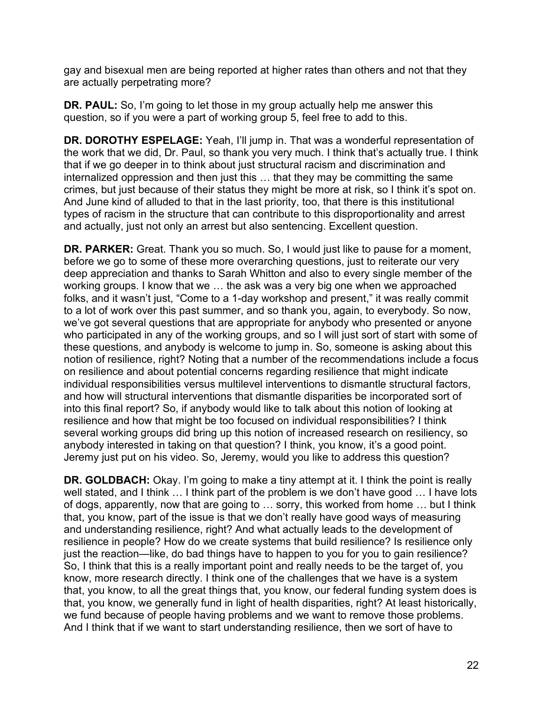gay and bisexual men are being reported at higher rates than others and not that they are actually perpetrating more?

**DR. PAUL:** So, I'm going to let those in my group actually help me answer this question, so if you were a part of working group 5, feel free to add to this.

 the work that we did, Dr. Paul, so thank you very much. I think that's actually true. I think that if we go deeper in to think about just structural racism and discrimination and crimes, but just because of their status they might be more at risk, so I think it's spot on. and actually, just not only an arrest but also sentencing. Excellent question. **DR. DOROTHY ESPELAGE:** Yeah, I'll jump in. That was a wonderful representation of internalized oppression and then just this … that they may be committing the same And June kind of alluded to that in the last priority, too, that there is this institutional types of racism in the structure that can contribute to this disproportionality and arrest

 before we go to some of these more overarching questions, just to reiterate our very and how will structural interventions that dismantle disparities be incorporated sort of Jeremy just put on his video. So, Jeremy, would you like to address this question? **DR. PARKER:** Great. Thank you so much. So, I would just like to pause for a moment, deep appreciation and thanks to Sarah Whitton and also to every single member of the working groups. I know that we … the ask was a very big one when we approached folks, and it wasn't just, "Come to a 1-day workshop and present," it was really commit to a lot of work over this past summer, and so thank you, again, to everybody. So now, we've got several questions that are appropriate for anybody who presented or anyone who participated in any of the working groups, and so I will just sort of start with some of these questions, and anybody is welcome to jump in. So, someone is asking about this notion of resilience, right? Noting that a number of the recommendations include a focus on resilience and about potential concerns regarding resilience that might indicate individual responsibilities versus multilevel interventions to dismantle structural factors, into this final report? So, if anybody would like to talk about this notion of looking at resilience and how that might be too focused on individual responsibilities? I think several working groups did bring up this notion of increased research on resiliency, so anybody interested in taking on that question? I think, you know, it's a good point.

**DR. GOLDBACH:** Okay. I'm going to make a tiny attempt at it. I think the point is really well stated, and I think ... I think part of the problem is we don't have good ... I have lots of dogs, apparently, now that are going to … sorry, this worked from home … but I think that, you know, part of the issue is that we don't really have good ways of measuring and understanding resilience, right? And what actually leads to the development of resilience in people? How do we create systems that build resilience? Is resilience only just the reaction—like, do bad things have to happen to you for you to gain resilience? So, I think that this is a really important point and really needs to be the target of, you know, more research directly. I think one of the challenges that we have is a system that, you know, to all the great things that, you know, our federal funding system does is that, you know, we generally fund in light of health disparities, right? At least historically, we fund because of people having problems and we want to remove those problems. And I think that if we want to start understanding resilience, then we sort of have to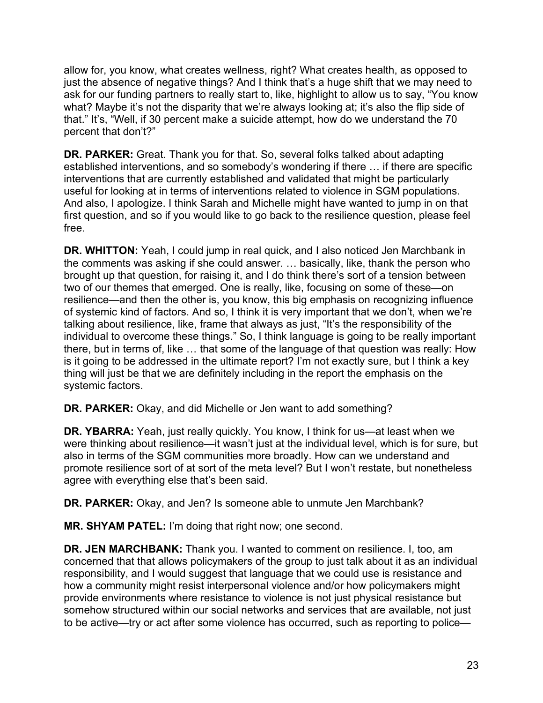allow for, you know, what creates wellness, right? What creates health, as opposed to just the absence of negative things? And I think that's a huge shift that we may need to ask for our funding partners to really start to, like, highlight to allow us to say, "You know what? Maybe it's not the disparity that we're always looking at; it's also the flip side of that." It's, "Well, if 30 percent make a suicide attempt, how do we understand the 70 percent that don't?"

 **DR. PARKER:** Great. Thank you for that. So, several folks talked about adapting interventions that are currently established and validated that might be particularly And also, I apologize. I think Sarah and Michelle might have wanted to jump in on that first question, and so if you would like to go back to the resilience question, please feel established interventions, and so somebody's wondering if there … if there are specific useful for looking at in terms of interventions related to violence in SGM populations. free.

 brought up that question, for raising it, and I do think there's sort of a tension between two of our themes that emerged. One is really, like, focusing on some of these—on talking about resilience, like, frame that always as just, "It's the responsibility of the there, but in terms of, like … that some of the language of that question was really: How is it going to be addressed in the ultimate report? I'm not exactly sure, but I think a key **DR. WHITTON:** Yeah, I could jump in real quick, and I also noticed Jen Marchbank in the comments was asking if she could answer. … basically, like, thank the person who resilience—and then the other is, you know, this big emphasis on recognizing influence of systemic kind of factors. And so, I think it is very important that we don't, when we're individual to overcome these things." So, I think language is going to be really important thing will just be that we are definitely including in the report the emphasis on the systemic factors.

**DR. PARKER:** Okay, and did Michelle or Jen want to add something?

 **DR. YBARRA:** Yeah, just really quickly. You know, I think for us—at least when we were thinking about resilience—it wasn't just at the individual level, which is for sure, but also in terms of the SGM communities more broadly. How can we understand and promote resilience sort of at sort of the meta level? But I won't restate, but nonetheless agree with everything else that's been said.

**DR. PARKER:** Okay, and Jen? Is someone able to unmute Jen Marchbank?

**MR. SHYAM PATEL:** I'm doing that right now; one second.

**DR. JEN MARCHBANK:** Thank you. I wanted to comment on resilience. I, too, am concerned that that allows policymakers of the group to just talk about it as an individual responsibility, and I would suggest that language that we could use is resistance and how a community might resist interpersonal violence and/or how policymakers might provide environments where resistance to violence is not just physical resistance but somehow structured within our social networks and services that are available, not just to be active—try or act after some violence has occurred, such as reporting to police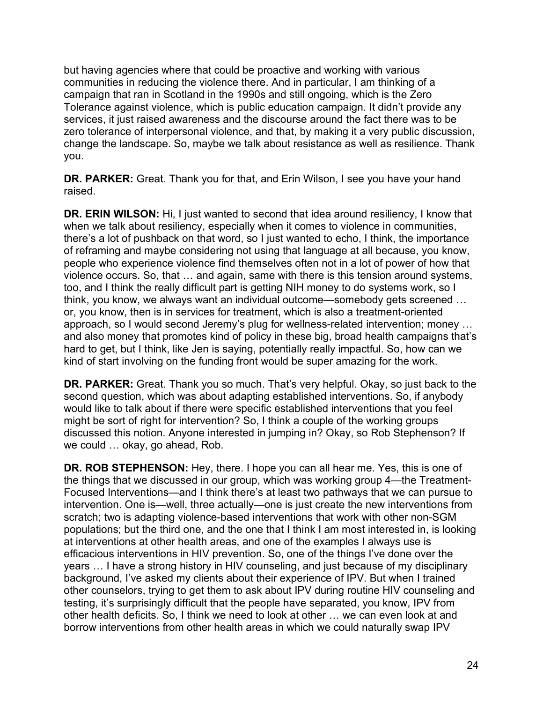but having agencies where that could be proactive and working with various communities in reducing the violence there. And in particular, I am thinking of a campaign that ran in Scotland in the 1990s and still ongoing, which is the Zero Tolerance against violence, which is public education campaign. It didn't provide any services, it just raised awareness and the discourse around the fact there was to be zero tolerance of interpersonal violence, and that, by making it a very public discussion, change the landscape. So, maybe we talk about resistance as well as resilience. Thank you.

**DR. PARKER:** Great. Thank you for that, and Erin Wilson, I see you have your hand raised.

 and also money that promotes kind of policy in these big, broad health campaigns that's hard to get, but I think, like Jen is saying, potentially really impactful. So, how can we kind of start involving on the funding front would be super amazing for the work. **DR. ERIN WILSON:** Hi, I just wanted to second that idea around resiliency, I know that when we talk about resiliency, especially when it comes to violence in communities, there's a lot of pushback on that word, so I just wanted to echo, I think, the importance of reframing and maybe considering not using that language at all because, you know, people who experience violence find themselves often not in a lot of power of how that violence occurs. So, that … and again, same with there is this tension around systems, too, and I think the really difficult part is getting NIH money to do systems work, so I think, you know, we always want an individual outcome—somebody gets screened … or, you know, then is in services for treatment, which is also a treatment-oriented approach, so I would second Jeremy's plug for wellness-related intervention; money …

 **DR. PARKER:** Great. Thank you so much. That's very helpful. Okay, so just back to the second question, which was about adapting established interventions. So, if anybody would like to talk about if there were specific established interventions that you feel might be sort of right for intervention? So, I think a couple of the working groups discussed this notion. Anyone interested in jumping in? Okay, so Rob Stephenson? If we could … okay, go ahead, Rob.

**DR. ROB STEPHENSON:** Hey, there. I hope you can all hear me. Yes, this is one of the things that we discussed in our group, which was working group 4—the Treatment-Focused Interventions—and I think there's at least two pathways that we can pursue to intervention. One is—well, three actually—one is just create the new interventions from scratch; two is adapting violence-based interventions that work with other non-SGM populations; but the third one, and the one that I think I am most interested in, is looking at interventions at other health areas, and one of the examples I always use is efficacious interventions in HIV prevention. So, one of the things I've done over the years … I have a strong history in HIV counseling, and just because of my disciplinary background, I've asked my clients about their experience of IPV. But when I trained other counselors, trying to get them to ask about IPV during routine HIV counseling and testing, it's surprisingly difficult that the people have separated, you know, IPV from other health deficits. So, I think we need to look at other … we can even look at and borrow interventions from other health areas in which we could naturally swap IPV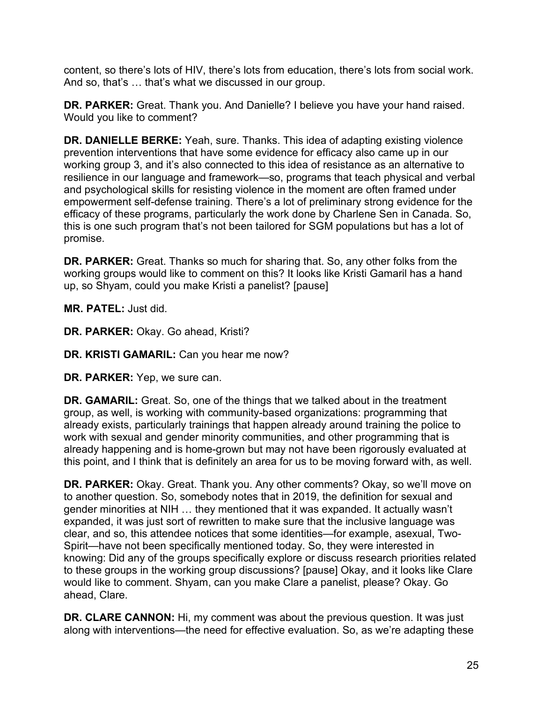content, so there's lots of HIV, there's lots from education, there's lots from social work. And so, that's … that's what we discussed in our group.

 **DR. PARKER:** Great. Thank you. And Danielle? I believe you have your hand raised. Would you like to comment?

 empowerment self-defense training. There's a lot of preliminary strong evidence for the this is one such program that's not been tailored for SGM populations but has a lot of **DR. DANIELLE BERKE:** Yeah, sure. Thanks. This idea of adapting existing violence prevention interventions that have some evidence for efficacy also came up in our working group 3, and it's also connected to this idea of resistance as an alternative to resilience in our language and framework—so, programs that teach physical and verbal and psychological skills for resisting violence in the moment are often framed under efficacy of these programs, particularly the work done by Charlene Sen in Canada. So, promise.

 working groups would like to comment on this? It looks like Kristi Gamaril has a hand **DR. PARKER:** Great. Thanks so much for sharing that. So, any other folks from the up, so Shyam, could you make Kristi a panelist? [pause]

**MR. PATEL:** Just did.

**DR. PARKER:** Okay. Go ahead, Kristi?

**DR. KRISTI GAMARIL:** Can you hear me now?

**DR. PARKER:** Yep, we sure can.

 **DR. GAMARIL:** Great. So, one of the things that we talked about in the treatment group, as well, is working with community-based organizations: programming that already happening and is home-grown but may not have been rigorously evaluated at this point, and I think that is definitely an area for us to be moving forward with, as well. already exists, particularly trainings that happen already around training the police to work with sexual and gender minority communities, and other programming that is

**DR. PARKER:** Okay. Great. Thank you. Any other comments? Okay, so we'll move on to another question. So, somebody notes that in 2019, the definition for sexual and gender minorities at NIH … they mentioned that it was expanded. It actually wasn't expanded, it was just sort of rewritten to make sure that the inclusive language was clear, and so, this attendee notices that some identities—for example, asexual, Two-Spirit—have not been specifically mentioned today. So, they were interested in knowing: Did any of the groups specifically explore or discuss research priorities related to these groups in the working group discussions? [pause] Okay, and it looks like Clare would like to comment. Shyam, can you make Clare a panelist, please? Okay. Go ahead, Clare.

**DR. CLARE CANNON:** Hi, my comment was about the previous question. It was just along with interventions—the need for effective evaluation. So, as we're adapting these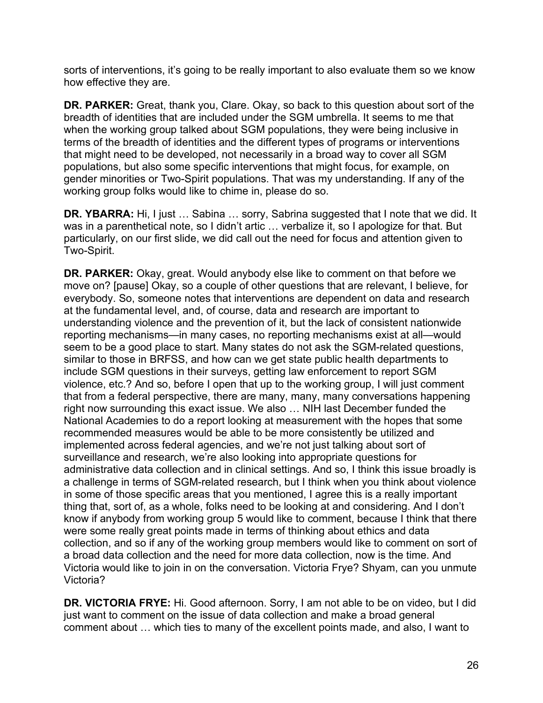sorts of interventions, it's going to be really important to also evaluate them so we know how effective they are.

 breadth of identities that are included under the SGM umbrella. It seems to me that terms of the breadth of identities and the different types of programs or interventions gender minorities or Two-Spirit populations. That was my understanding. If any of the **DR. PARKER:** Great, thank you, Clare. Okay, so back to this question about sort of the when the working group talked about SGM populations, they were being inclusive in that might need to be developed, not necessarily in a broad way to cover all SGM populations, but also some specific interventions that might focus, for example, on working group folks would like to chime in, please do so.

 **DR. YBARRA:** Hi, I just … Sabina … sorry, Sabrina suggested that I note that we did. It particularly, on our first slide, we did call out the need for focus and attention given to was in a parenthetical note, so I didn't artic … verbalize it, so I apologize for that. But Two-Spirit.

 **DR. PARKER:** Okay, great. Would anybody else like to comment on that before we move on? [pause] Okay, so a couple of other questions that are relevant, I believe, for include SGM questions in their surveys, getting law enforcement to report SGM violence, etc.? And so, before I open that up to the working group, I will just comment implemented across federal agencies, and we're not just talking about sort of thing that, sort of, as a whole, folks need to be looking at and considering. And I don't were some really great points made in terms of thinking about ethics and data collection, and so if any of the working group members would like to comment on sort of everybody. So, someone notes that interventions are dependent on data and research at the fundamental level, and, of course, data and research are important to understanding violence and the prevention of it, but the lack of consistent nationwide reporting mechanisms—in many cases, no reporting mechanisms exist at all—would seem to be a good place to start. Many states do not ask the SGM-related questions, similar to those in BRFSS, and how can we get state public health departments to that from a federal perspective, there are many, many, many conversations happening right now surrounding this exact issue. We also … NIH last December funded the National Academies to do a report looking at measurement with the hopes that some recommended measures would be able to be more consistently be utilized and surveillance and research, we're also looking into appropriate questions for administrative data collection and in clinical settings. And so, I think this issue broadly is a challenge in terms of SGM-related research, but I think when you think about violence in some of those specific areas that you mentioned, I agree this is a really important know if anybody from working group 5 would like to comment, because I think that there a broad data collection and the need for more data collection, now is the time. And Victoria would like to join in on the conversation. Victoria Frye? Shyam, can you unmute Victoria?

**DR. VICTORIA FRYE:** Hi. Good afternoon. Sorry, I am not able to be on video, but I did just want to comment on the issue of data collection and make a broad general comment about … which ties to many of the excellent points made, and also, I want to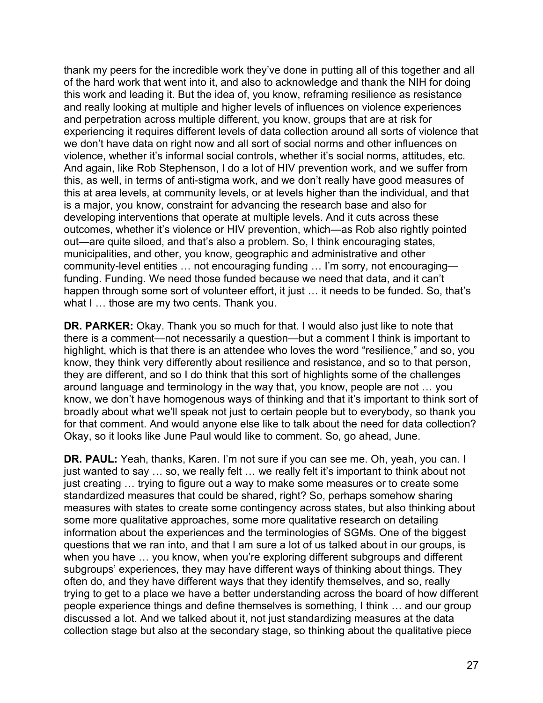thank my peers for the incredible work they've done in putting all of this together and all of the hard work that went into it, and also to acknowledge and thank the NIH for doing this work and leading it. But the idea of, you know, reframing resilience as resistance and really looking at multiple and higher levels of influences on violence experiences and perpetration across multiple different, you know, groups that are at risk for experiencing it requires different levels of data collection around all sorts of violence that we don't have data on right now and all sort of social norms and other influences on violence, whether it's informal social controls, whether it's social norms, attitudes, etc. And again, like Rob Stephenson, I do a lot of HIV prevention work, and we suffer from this, as well, in terms of anti-stigma work, and we don't really have good measures of this at area levels, at community levels, or at levels higher than the individual, and that is a major, you know, constraint for advancing the research base and also for developing interventions that operate at multiple levels. And it cuts across these outcomes, whether it's violence or HIV prevention, which—as Rob also rightly pointed out—are quite siloed, and that's also a problem. So, I think encouraging states, municipalities, and other, you know, geographic and administrative and other community-level entities … not encouraging funding … I'm sorry, not encouraging funding. Funding. We need those funded because we need that data, and it can't happen through some sort of volunteer effort, it just ... it needs to be funded. So, that's what I ... those are my two cents. Thank you.

 highlight, which is that there is an attendee who loves the word "resilience," and so, you know, they think very differently about resilience and resistance, and so to that person, they are different, and so I do think that this sort of highlights some of the challenges know, we don't have homogenous ways of thinking and that it's important to think sort of **DR. PARKER:** Okay. Thank you so much for that. I would also just like to note that there is a comment—not necessarily a question—but a comment I think is important to around language and terminology in the way that, you know, people are not … you broadly about what we'll speak not just to certain people but to everybody, so thank you for that comment. And would anyone else like to talk about the need for data collection? Okay, so it looks like June Paul would like to comment. So, go ahead, June.

**DR. PAUL:** Yeah, thanks, Karen. I'm not sure if you can see me. Oh, yeah, you can. I just wanted to say … so, we really felt … we really felt it's important to think about not just creating … trying to figure out a way to make some measures or to create some standardized measures that could be shared, right? So, perhaps somehow sharing measures with states to create some contingency across states, but also thinking about some more qualitative approaches, some more qualitative research on detailing information about the experiences and the terminologies of SGMs. One of the biggest questions that we ran into, and that I am sure a lot of us talked about in our groups, is when you have ... you know, when you're exploring different subgroups and different subgroups' experiences, they may have different ways of thinking about things. They often do, and they have different ways that they identify themselves, and so, really trying to get to a place we have a better understanding across the board of how different people experience things and define themselves is something, I think … and our group discussed a lot. And we talked about it, not just standardizing measures at the data collection stage but also at the secondary stage, so thinking about the qualitative piece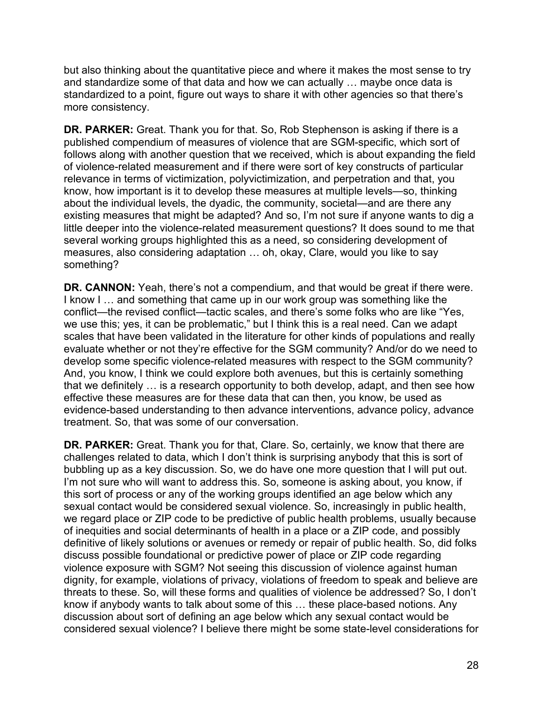but also thinking about the quantitative piece and where it makes the most sense to try and standardize some of that data and how we can actually … maybe once data is standardized to a point, figure out ways to share it with other agencies so that there's more consistency.

 published compendium of measures of violence that are SGM-specific, which sort of of violence-related measurement and if there were sort of key constructs of particular several working groups highlighted this as a need, so considering development of measures, also considering adaptation … oh, okay, Clare, would you like to say **DR. PARKER:** Great. Thank you for that. So, Rob Stephenson is asking if there is a follows along with another question that we received, which is about expanding the field relevance in terms of victimization, polyvictimization, and perpetration and that, you know, how important is it to develop these measures at multiple levels—so, thinking about the individual levels, the dyadic, the community, societal—and are there any existing measures that might be adapted? And so, I'm not sure if anyone wants to dig a little deeper into the violence-related measurement questions? It does sound to me that something?

 **DR. CANNON:** Yeah, there's not a compendium, and that would be great if there were. we use this; yes, it can be problematic," but I think this is a real need. Can we adapt And, you know, I think we could explore both avenues, but this is certainly something effective these measures are for these data that can then, you know, be used as I know I … and something that came up in our work group was something like the conflict—the revised conflict—tactic scales, and there's some folks who are like "Yes, scales that have been validated in the literature for other kinds of populations and really evaluate whether or not they're effective for the SGM community? And/or do we need to develop some specific violence-related measures with respect to the SGM community? that we definitely … is a research opportunity to both develop, adapt, and then see how evidence-based understanding to then advance interventions, advance policy, advance treatment. So, that was some of our conversation.

**DR. PARKER:** Great. Thank you for that, Clare. So, certainly, we know that there are challenges related to data, which I don't think is surprising anybody that this is sort of bubbling up as a key discussion. So, we do have one more question that I will put out. I'm not sure who will want to address this. So, someone is asking about, you know, if this sort of process or any of the working groups identified an age below which any sexual contact would be considered sexual violence. So, increasingly in public health, we regard place or ZIP code to be predictive of public health problems, usually because of inequities and social determinants of health in a place or a ZIP code, and possibly definitive of likely solutions or avenues or remedy or repair of public health. So, did folks discuss possible foundational or predictive power of place or ZIP code regarding violence exposure with SGM? Not seeing this discussion of violence against human dignity, for example, violations of privacy, violations of freedom to speak and believe are threats to these. So, will these forms and qualities of violence be addressed? So, I don't know if anybody wants to talk about some of this … these place-based notions. Any discussion about sort of defining an age below which any sexual contact would be considered sexual violence? I believe there might be some state-level considerations for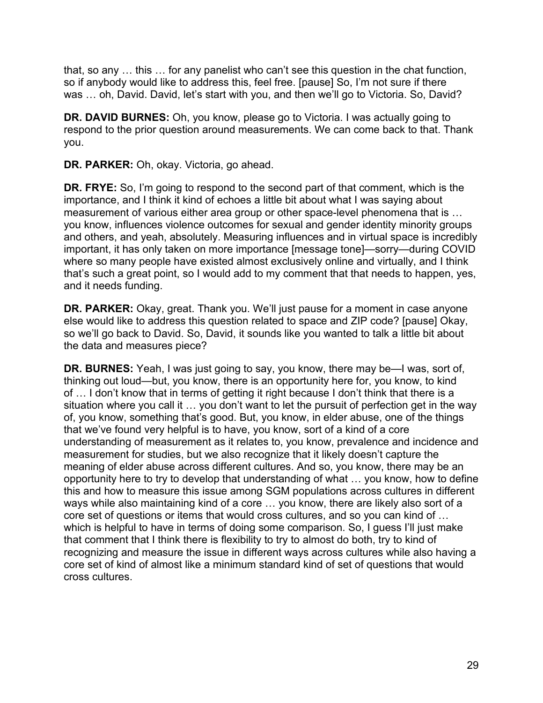that, so any … this … for any panelist who can't see this question in the chat function, so if anybody would like to address this, feel free. [pause] So, I'm not sure if there was ... oh, David. David, let's start with you, and then we'll go to Victoria. So, David?

**DR. DAVID BURNES:** Oh, you know, please go to Victoria. I was actually going to respond to the prior question around measurements. We can come back to that. Thank you.

**DR. PARKER:** Oh, okay. Victoria, go ahead.

 you know, influences violence outcomes for sexual and gender identity minority groups where so many people have existed almost exclusively online and virtually, and I think and it needs funding. **DR. FRYE:** So, I'm going to respond to the second part of that comment, which is the importance, and I think it kind of echoes a little bit about what I was saying about measurement of various either area group or other space-level phenomena that is … and others, and yeah, absolutely. Measuring influences and in virtual space is incredibly important, it has only taken on more importance [message tone]—sorry—during COVID that's such a great point, so I would add to my comment that that needs to happen, yes,

**DR. PARKER:** Okay, great. Thank you. We'll just pause for a moment in case anyone else would like to address this question related to space and ZIP code? [pause] Okay, so we'll go back to David. So, David, it sounds like you wanted to talk a little bit about the data and measures piece?

 **DR. BURNES:** Yeah, I was just going to say, you know, there may be—I was, sort of, of … I don't know that in terms of getting it right because I don't think that there is a situation where you call it … you don't want to let the pursuit of perfection get in the way that we've found very helpful is to have, you know, sort of a kind of a core understanding of measurement as it relates to, you know, prevalence and incidence and measurement for studies, but we also recognize that it likely doesn't capture the opportunity here to try to develop that understanding of what … you know, how to define which is helpful to have in terms of doing some comparison. So, I guess I'll just make core set of kind of almost like a minimum standard kind of set of questions that would thinking out loud—but, you know, there is an opportunity here for, you know, to kind of, you know, something that's good. But, you know, in elder abuse, one of the things meaning of elder abuse across different cultures. And so, you know, there may be an this and how to measure this issue among SGM populations across cultures in different ways while also maintaining kind of a core … you know, there are likely also sort of a core set of questions or items that would cross cultures, and so you can kind of … that comment that I think there is flexibility to try to almost do both, try to kind of recognizing and measure the issue in different ways across cultures while also having a cross cultures.